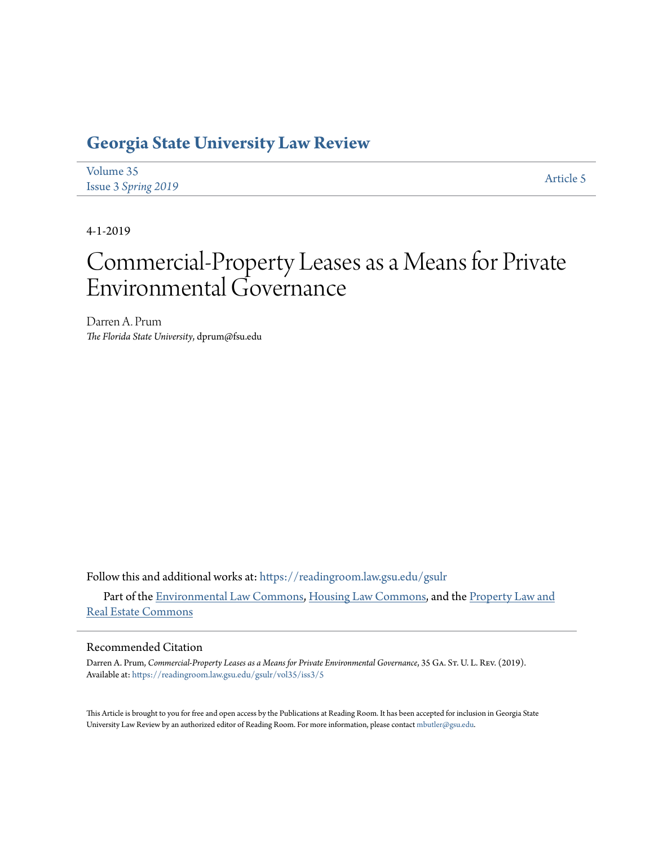# **[Georgia State University Law Review](https://readingroom.law.gsu.edu/gsulr?utm_source=readingroom.law.gsu.edu%2Fgsulr%2Fvol35%2Fiss3%2F5&utm_medium=PDF&utm_campaign=PDFCoverPages)**

| Volume 35                  | Article 5 |
|----------------------------|-----------|
| <b>Issue 3 Spring 2019</b> |           |

4-1-2019

# Commercial-Property Leases as a Means for Private Environmental Governance

Darren A. Prum *The Florida State University*, dprum@fsu.edu

Follow this and additional works at: [https://readingroom.law.gsu.edu/gsulr](https://readingroom.law.gsu.edu/gsulr?utm_source=readingroom.law.gsu.edu%2Fgsulr%2Fvol35%2Fiss3%2F5&utm_medium=PDF&utm_campaign=PDFCoverPages)

Part of the [Environmental Law Commons](http://network.bepress.com/hgg/discipline/599?utm_source=readingroom.law.gsu.edu%2Fgsulr%2Fvol35%2Fiss3%2F5&utm_medium=PDF&utm_campaign=PDFCoverPages), [Housing Law Commons](http://network.bepress.com/hgg/discipline/846?utm_source=readingroom.law.gsu.edu%2Fgsulr%2Fvol35%2Fiss3%2F5&utm_medium=PDF&utm_campaign=PDFCoverPages), and the [Property Law and](http://network.bepress.com/hgg/discipline/897?utm_source=readingroom.law.gsu.edu%2Fgsulr%2Fvol35%2Fiss3%2F5&utm_medium=PDF&utm_campaign=PDFCoverPages) [Real Estate Commons](http://network.bepress.com/hgg/discipline/897?utm_source=readingroom.law.gsu.edu%2Fgsulr%2Fvol35%2Fiss3%2F5&utm_medium=PDF&utm_campaign=PDFCoverPages)

#### Recommended Citation

Darren A. Prum, *Commercial-Property Leases as a Means for Private Environmental Governance*, 35 GA. ST. U. L. Rev. (2019). Available at: [https://readingroom.law.gsu.edu/gsulr/vol35/iss3/5](https://readingroom.law.gsu.edu/gsulr/vol35/iss3/5?utm_source=readingroom.law.gsu.edu%2Fgsulr%2Fvol35%2Fiss3%2F5&utm_medium=PDF&utm_campaign=PDFCoverPages)

This Article is brought to you for free and open access by the Publications at Reading Room. It has been accepted for inclusion in Georgia State University Law Review by an authorized editor of Reading Room. For more information, please contact [mbutler@gsu.edu.](mailto:mbutler@gsu.edu)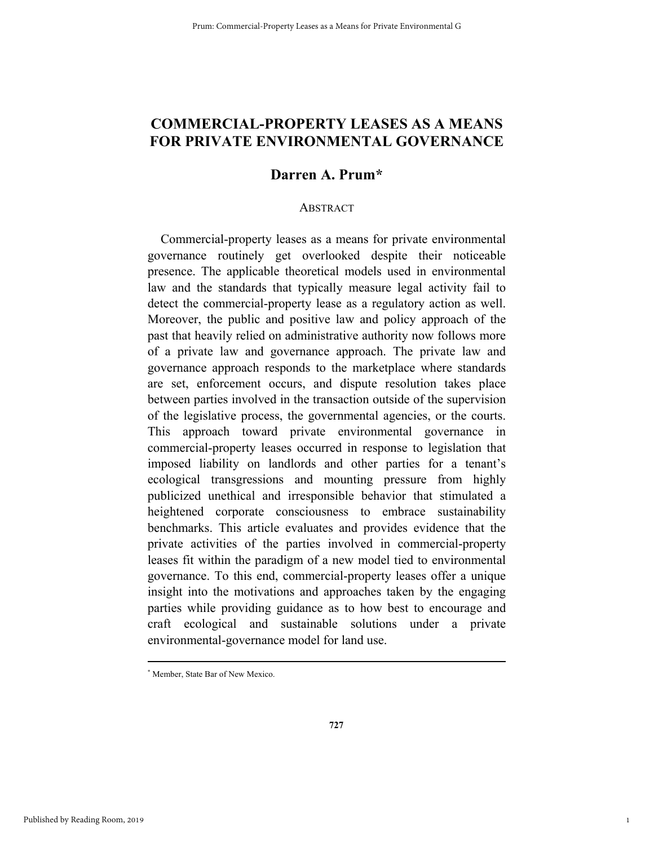# **COMMERCIAL-PROPERTY LEASES AS A MEANS FOR PRIVATE ENVIRONMENTAL GOVERNANCE**

# **Darren A. Prum\***

#### ABSTRACT

Commercial-property leases as a means for private environmental governance routinely get overlooked despite their noticeable presence. The applicable theoretical models used in environmental law and the standards that typically measure legal activity fail to detect the commercial-property lease as a regulatory action as well. Moreover, the public and positive law and policy approach of the past that heavily relied on administrative authority now follows more of a private law and governance approach. The private law and governance approach responds to the marketplace where standards are set, enforcement occurs, and dispute resolution takes place between parties involved in the transaction outside of the supervision of the legislative process, the governmental agencies, or the courts. This approach toward private environmental governance in commercial-property leases occurred in response to legislation that imposed liability on landlords and other parties for a tenant's ecological transgressions and mounting pressure from highly publicized unethical and irresponsible behavior that stimulated a heightened corporate consciousness to embrace sustainability benchmarks. This article evaluates and provides evidence that the private activities of the parties involved in commercial-property leases fit within the paradigm of a new model tied to environmental governance. To this end, commercial-property leases offer a unique insight into the motivations and approaches taken by the engaging parties while providing guidance as to how best to encourage and craft ecological and sustainable solutions under a private environmental-governance model for land use.

1

 <sup>\*</sup> Member, State Bar of New Mexico.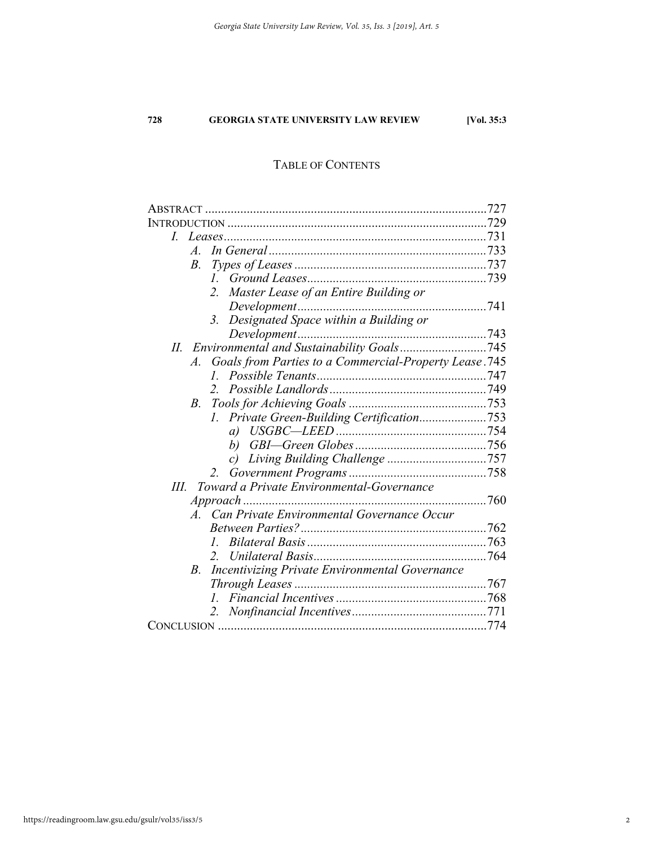#### TABLE OF CONTENTS

| L                                                                   |  |
|---------------------------------------------------------------------|--|
| $\mathcal{A}_{-}$                                                   |  |
| $B_{\cdot}$                                                         |  |
|                                                                     |  |
| Master Lease of an Entire Building or<br>2.                         |  |
|                                                                     |  |
| 3. Designated Space within a Building or                            |  |
|                                                                     |  |
| Н.                                                                  |  |
| Goals from Parties to a Commercial-Property Lease.745<br>$A$ .      |  |
| $\mathcal{I}$                                                       |  |
| $\mathcal{L}$                                                       |  |
| $B_{-}$                                                             |  |
|                                                                     |  |
|                                                                     |  |
|                                                                     |  |
|                                                                     |  |
| $2^{\circ}$                                                         |  |
| Toward a Private Environmental-Governance<br>Ш.                     |  |
|                                                                     |  |
| A. Can Private Environmental Governance Occur                       |  |
|                                                                     |  |
| $\mathcal{L}$                                                       |  |
|                                                                     |  |
| <b>Incentivizing Private Environmental Governance</b><br><i>B</i> . |  |
|                                                                     |  |
|                                                                     |  |
| 2.                                                                  |  |
|                                                                     |  |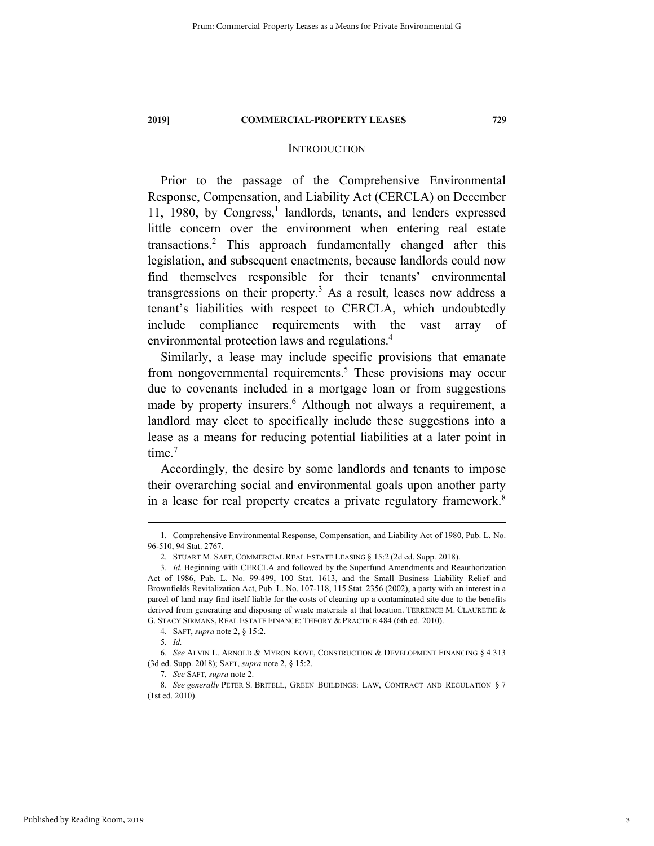#### **INTRODUCTION**

Prior to the passage of the Comprehensive Environmental Response, Compensation, and Liability Act (CERCLA) on December 11, 1980, by Congress,<sup>1</sup> landlords, tenants, and lenders expressed little concern over the environment when entering real estate transactions.2 This approach fundamentally changed after this legislation, and subsequent enactments, because landlords could now find themselves responsible for their tenants' environmental transgressions on their property.<sup>3</sup> As a result, leases now address a tenant's liabilities with respect to CERCLA, which undoubtedly include compliance requirements with the vast array of environmental protection laws and regulations.4

Similarly, a lease may include specific provisions that emanate from nongovernmental requirements.<sup>5</sup> These provisions may occur due to covenants included in a mortgage loan or from suggestions made by property insurers.<sup>6</sup> Although not always a requirement, a landlord may elect to specifically include these suggestions into a lease as a means for reducing potential liabilities at a later point in time. $<sup>7</sup>$ </sup>

Accordingly, the desire by some landlords and tenants to impose their overarching social and environmental goals upon another party in a lease for real property creates a private regulatory framework.<sup>8</sup>

 <sup>1.</sup> Comprehensive Environmental Response, Compensation, and Liability Act of 1980, Pub. L. No. 96-510, 94 Stat. 2767.

 <sup>2.</sup> STUART M. SAFT, COMMERCIAL REAL ESTATE LEASING § 15:2 (2d ed. Supp. 2018).

<sup>3</sup>*. Id.* Beginning with CERCLA and followed by the Superfund Amendments and Reauthorization Act of 1986, Pub. L. No. 99-499, 100 Stat. 1613, and the Small Business Liability Relief and Brownfields Revitalization Act, Pub. L. No. 107-118, 115 Stat. 2356 (2002), a party with an interest in a parcel of land may find itself liable for the costs of cleaning up a contaminated site due to the benefits derived from generating and disposing of waste materials at that location. TERRENCE M. CLAURETIE & G. STACY SIRMANS, REAL ESTATE FINANCE: THEORY & PRACTICE 484 (6th ed. 2010).

 <sup>4.</sup> SAFT, *supra* note 2, § 15:2.

<sup>5</sup>*. Id.*

<sup>6</sup>*. See* ALVIN L. ARNOLD & MYRON KOVE, CONSTRUCTION & DEVELOPMENT FINANCING § 4.313 (3d ed. Supp. 2018); SAFT, *supra* note 2, § 15:2.

<sup>7</sup>*. See* SAFT, *supra* note 2.

<sup>8</sup>*. See generally* PETER S. BRITELL, GREEN BUILDINGS: LAW, CONTRACT AND REGULATION § 7 (1st ed. 2010).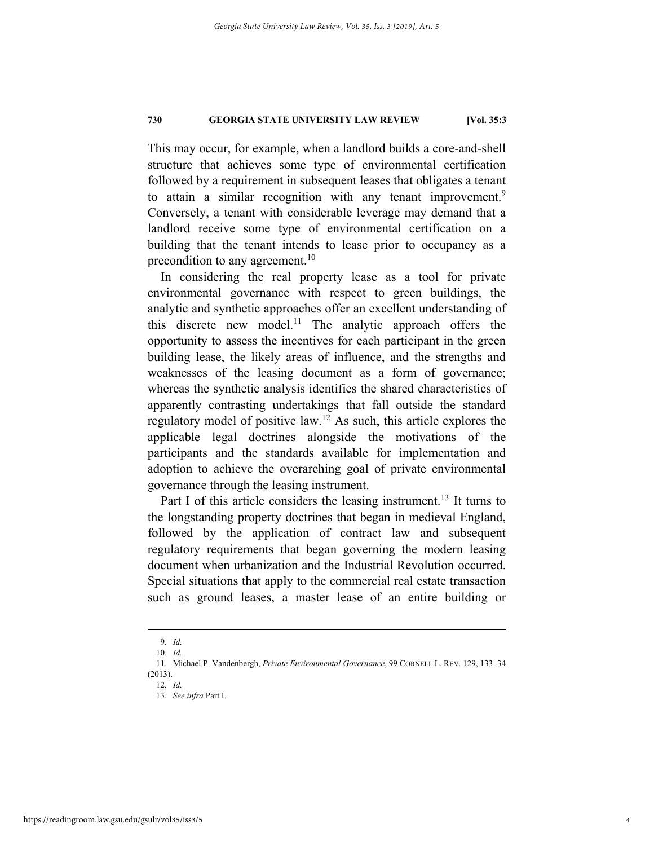This may occur, for example, when a landlord builds a core-and-shell structure that achieves some type of environmental certification followed by a requirement in subsequent leases that obligates a tenant to attain a similar recognition with any tenant improvement.<sup>9</sup> Conversely, a tenant with considerable leverage may demand that a landlord receive some type of environmental certification on a building that the tenant intends to lease prior to occupancy as a precondition to any agreement.<sup>10</sup>

In considering the real property lease as a tool for private environmental governance with respect to green buildings, the analytic and synthetic approaches offer an excellent understanding of this discrete new model.<sup>11</sup> The analytic approach offers the opportunity to assess the incentives for each participant in the green building lease, the likely areas of influence, and the strengths and weaknesses of the leasing document as a form of governance; whereas the synthetic analysis identifies the shared characteristics of apparently contrasting undertakings that fall outside the standard regulatory model of positive law.12 As such, this article explores the applicable legal doctrines alongside the motivations of the participants and the standards available for implementation and adoption to achieve the overarching goal of private environmental governance through the leasing instrument.

Part I of this article considers the leasing instrument.<sup>13</sup> It turns to the longstanding property doctrines that began in medieval England, followed by the application of contract law and subsequent regulatory requirements that began governing the modern leasing document when urbanization and the Industrial Revolution occurred. Special situations that apply to the commercial real estate transaction such as ground leases, a master lease of an entire building or

 <sup>9</sup>*. Id.*

<sup>10</sup>*. Id.* 

 <sup>11.</sup> Michael P. Vandenbergh, *Private Environmental Governance*, 99 CORNELL L. REV. 129, 133–34 (2013).

<sup>12</sup>*. Id.* 

<sup>13</sup>*. See infra* Part I.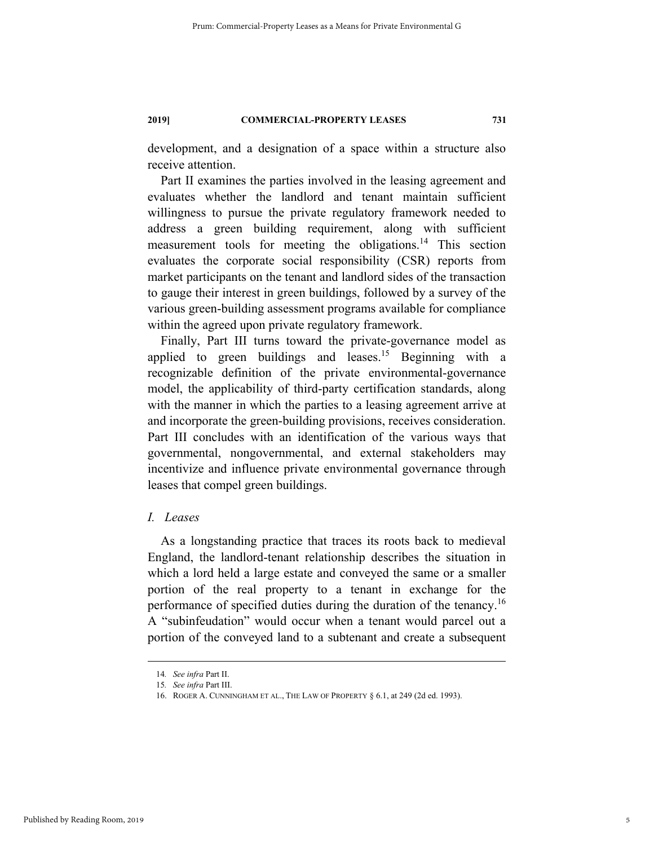development, and a designation of a space within a structure also receive attention.

Part II examines the parties involved in the leasing agreement and evaluates whether the landlord and tenant maintain sufficient willingness to pursue the private regulatory framework needed to address a green building requirement, along with sufficient measurement tools for meeting the obligations.<sup>14</sup> This section evaluates the corporate social responsibility (CSR) reports from market participants on the tenant and landlord sides of the transaction to gauge their interest in green buildings, followed by a survey of the various green-building assessment programs available for compliance within the agreed upon private regulatory framework.

Finally, Part III turns toward the private-governance model as applied to green buildings and leases.<sup>15</sup> Beginning with a recognizable definition of the private environmental-governance model, the applicability of third-party certification standards, along with the manner in which the parties to a leasing agreement arrive at and incorporate the green-building provisions, receives consideration. Part III concludes with an identification of the various ways that governmental, nongovernmental, and external stakeholders may incentivize and influence private environmental governance through leases that compel green buildings.

### *I. Leases*

As a longstanding practice that traces its roots back to medieval England, the landlord-tenant relationship describes the situation in which a lord held a large estate and conveyed the same or a smaller portion of the real property to a tenant in exchange for the performance of specified duties during the duration of the tenancy.<sup>16</sup> A "subinfeudation" would occur when a tenant would parcel out a portion of the conveyed land to a subtenant and create a subsequent

 <sup>14</sup>*. See infra* Part II.

<sup>15</sup>*. See infra* Part III.

 <sup>16.</sup> ROGER A. CUNNINGHAM ET AL., THE LAW OF PROPERTY § 6.1, at 249 (2d ed. 1993).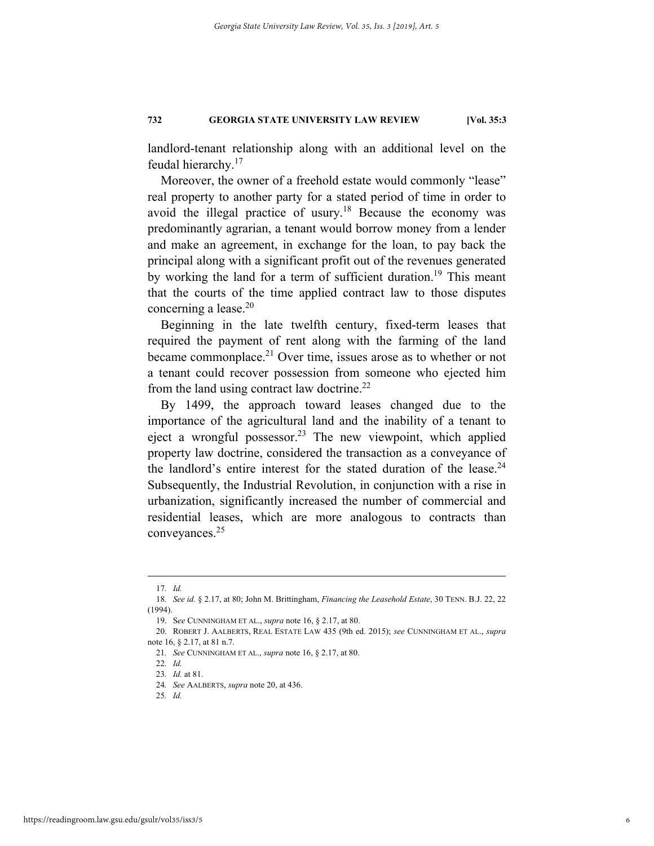landlord-tenant relationship along with an additional level on the feudal hierarchy.17

Moreover, the owner of a freehold estate would commonly "lease" real property to another party for a stated period of time in order to avoid the illegal practice of usury.<sup>18</sup> Because the economy was predominantly agrarian, a tenant would borrow money from a lender and make an agreement, in exchange for the loan, to pay back the principal along with a significant profit out of the revenues generated by working the land for a term of sufficient duration.<sup>19</sup> This meant that the courts of the time applied contract law to those disputes concerning a lease.<sup>20</sup>

Beginning in the late twelfth century, fixed-term leases that required the payment of rent along with the farming of the land became commonplace.<sup>21</sup> Over time, issues arose as to whether or not a tenant could recover possession from someone who ejected him from the land using contract law doctrine.<sup>22</sup>

By 1499, the approach toward leases changed due to the importance of the agricultural land and the inability of a tenant to eject a wrongful possessor.<sup>23</sup> The new viewpoint, which applied property law doctrine, considered the transaction as a conveyance of the landlord's entire interest for the stated duration of the lease.<sup>24</sup> Subsequently, the Industrial Revolution, in conjunction with a rise in urbanization, significantly increased the number of commercial and residential leases, which are more analogous to contracts than conveyances.25

 <sup>17</sup>*. Id.* 

<sup>18</sup>*. See id.* § 2.17, at 80; John M. Brittingham, *Financing the Leasehold Estate*, 30 TENN. B.J. 22, 22 (1994).

 <sup>19.</sup> S*ee* CUNNINGHAM ET AL., *supra* note 16, § 2.17, at 80.

 <sup>20.</sup> ROBERT J. AALBERTS, REAL ESTATE LAW 435 (9th ed. 2015); *see* CUNNINGHAM ET AL., *supra* note 16, § 2.17, at 81 n.7.

<sup>21</sup>*. See* CUNNINGHAM ET AL., *supra* note 16, § 2.17, at 80.

<sup>22</sup>*. Id.* 

<sup>23</sup>*. Id.* at 81.

<sup>24</sup>*. See* AALBERTS, *supra* note 20, at 436.

<sup>25</sup>*. Id.*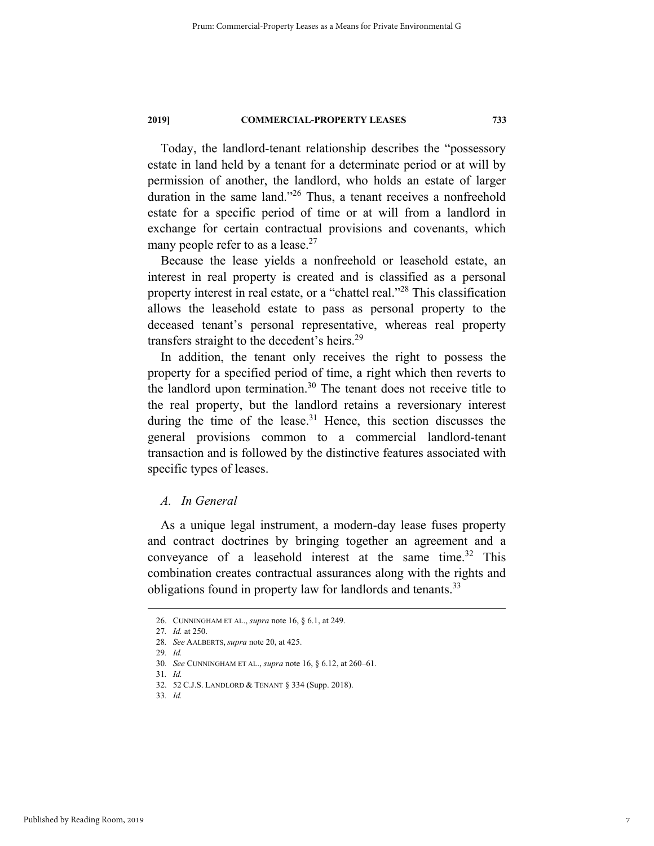Today, the landlord-tenant relationship describes the "possessory estate in land held by a tenant for a determinate period or at will by permission of another, the landlord, who holds an estate of larger duration in the same land."<sup>26</sup> Thus, a tenant receives a nonfreehold estate for a specific period of time or at will from a landlord in exchange for certain contractual provisions and covenants, which many people refer to as a lease.<sup>27</sup>

Because the lease yields a nonfreehold or leasehold estate, an interest in real property is created and is classified as a personal property interest in real estate, or a "chattel real."28 This classification allows the leasehold estate to pass as personal property to the deceased tenant's personal representative, whereas real property transfers straight to the decedent's heirs.<sup>29</sup>

In addition, the tenant only receives the right to possess the property for a specified period of time, a right which then reverts to the landlord upon termination.30 The tenant does not receive title to the real property, but the landlord retains a reversionary interest during the time of the lease.<sup>31</sup> Hence, this section discusses the general provisions common to a commercial landlord-tenant transaction and is followed by the distinctive features associated with specific types of leases.

### *A. In General*

As a unique legal instrument, a modern-day lease fuses property and contract doctrines by bringing together an agreement and a conveyance of a leasehold interest at the same time. $32$  This combination creates contractual assurances along with the rights and obligations found in property law for landlords and tenants.<sup>33</sup>

 <sup>26.</sup> CUNNINGHAM ET AL., *supra* note 16, § 6.1, at 249.

<sup>27</sup>*. Id.* at 250.

<sup>28</sup>*. See* AALBERTS, *supra* note 20, at 425.

<sup>29</sup>*. Id.* 

<sup>30</sup>*. See* CUNNINGHAM ET AL., *supra* note 16, § 6.12, at 260–61.

<sup>31</sup>*. Id.*

 <sup>32. 52</sup> C.J.S. LANDLORD & TENANT § 334 (Supp. 2018).

<sup>33</sup>*. Id.*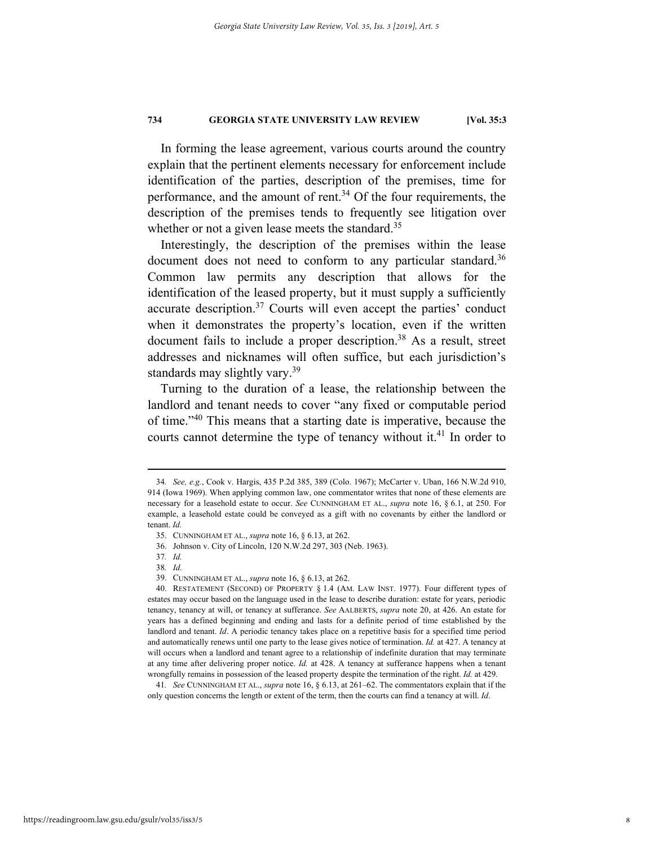In forming the lease agreement, various courts around the country explain that the pertinent elements necessary for enforcement include identification of the parties, description of the premises, time for performance, and the amount of rent. $34$  Of the four requirements, the description of the premises tends to frequently see litigation over whether or not a given lease meets the standard.<sup>35</sup>

Interestingly, the description of the premises within the lease document does not need to conform to any particular standard.<sup>36</sup> Common law permits any description that allows for the identification of the leased property, but it must supply a sufficiently accurate description.<sup>37</sup> Courts will even accept the parties' conduct when it demonstrates the property's location, even if the written document fails to include a proper description.<sup>38</sup> As a result, street addresses and nicknames will often suffice, but each jurisdiction's standards may slightly vary.<sup>39</sup>

Turning to the duration of a lease, the relationship between the landlord and tenant needs to cover "any fixed or computable period of time."40 This means that a starting date is imperative, because the courts cannot determine the type of tenancy without it.<sup>41</sup> In order to

 <sup>34</sup>*. See, e.g.*, Cook v. Hargis, 435 P.2d 385, 389 (Colo. 1967); McCarter v. Uban, 166 N.W.2d 910, 914 (Iowa 1969). When applying common law, one commentator writes that none of these elements are necessary for a leasehold estate to occur. *See* CUNNINGHAM ET AL., *supra* note 16, § 6.1, at 250. For example, a leasehold estate could be conveyed as a gift with no covenants by either the landlord or tenant. *Id.*

 <sup>35.</sup> CUNNINGHAM ET AL., *supra* note 16, § 6.13, at 262.

 <sup>36.</sup> Johnson v. City of Lincoln, 120 N.W.2d 297, 303 (Neb. 1963).

<sup>37</sup>*. Id.* 

<sup>38</sup>*. Id.*

 <sup>39.</sup> CUNNINGHAM ET AL., *supra* note 16, § 6.13, at 262.

 <sup>40.</sup> RESTATEMENT (SECOND) OF PROPERTY § 1.4 (AM. LAW INST. 1977). Four different types of estates may occur based on the language used in the lease to describe duration: estate for years, periodic tenancy, tenancy at will, or tenancy at sufferance. *See* AALBERTS, *supra* note 20, at 426. An estate for years has a defined beginning and ending and lasts for a definite period of time established by the landlord and tenant. *Id*. A periodic tenancy takes place on a repetitive basis for a specified time period and automatically renews until one party to the lease gives notice of termination. *Id.* at 427. A tenancy at will occurs when a landlord and tenant agree to a relationship of indefinite duration that may terminate at any time after delivering proper notice. *Id.* at 428. A tenancy at sufferance happens when a tenant wrongfully remains in possession of the leased property despite the termination of the right. *Id.* at 429.

<sup>41</sup>*. See* CUNNINGHAM ET AL., *supra* note 16, § 6.13, at 261–62. The commentators explain that if the only question concerns the length or extent of the term, then the courts can find a tenancy at will. *Id*.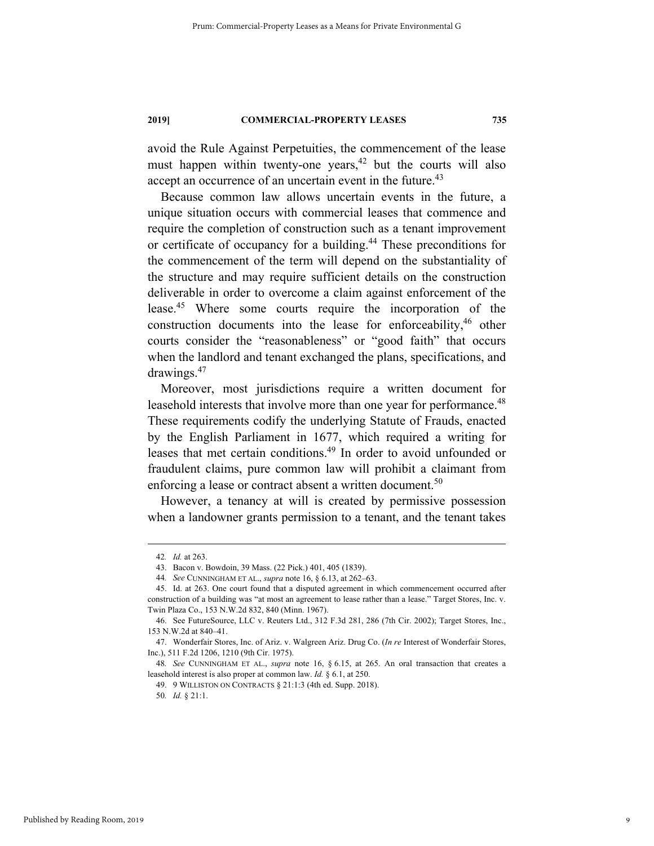avoid the Rule Against Perpetuities, the commencement of the lease must happen within twenty-one years,  $42$  but the courts will also accept an occurrence of an uncertain event in the future.<sup>43</sup>

Because common law allows uncertain events in the future, a unique situation occurs with commercial leases that commence and require the completion of construction such as a tenant improvement or certificate of occupancy for a building.44 These preconditions for the commencement of the term will depend on the substantiality of the structure and may require sufficient details on the construction deliverable in order to overcome a claim against enforcement of the lease.45 Where some courts require the incorporation of the construction documents into the lease for enforceability, $46$  other courts consider the "reasonableness" or "good faith" that occurs when the landlord and tenant exchanged the plans, specifications, and drawings.47

Moreover, most jurisdictions require a written document for leasehold interests that involve more than one year for performance.<sup>48</sup> These requirements codify the underlying Statute of Frauds, enacted by the English Parliament in 1677, which required a writing for leases that met certain conditions.49 In order to avoid unfounded or fraudulent claims, pure common law will prohibit a claimant from enforcing a lease or contract absent a written document.<sup>50</sup>

However, a tenancy at will is created by permissive possession when a landowner grants permission to a tenant, and the tenant takes

 <sup>42</sup>*. Id.* at 263.

 <sup>43.</sup> Bacon v. Bowdoin, 39 Mass. (22 Pick.) 401, 405 (1839).

<sup>44</sup>*. See* CUNNINGHAM ET AL., *supra* note 16, § 6.13, at 262–63.

 <sup>45.</sup> Id. at 263. One court found that a disputed agreement in which commencement occurred after construction of a building was "at most an agreement to lease rather than a lease." Target Stores, Inc. v. Twin Plaza Co., 153 N.W.2d 832, 840 (Minn. 1967).

 <sup>46.</sup> See FutureSource, LLC v. Reuters Ltd., 312 F.3d 281, 286 (7th Cir. 2002); Target Stores, Inc., 153 N.W.2d at 840–41.

 <sup>47.</sup> Wonderfair Stores, Inc. of Ariz. v. Walgreen Ariz. Drug Co. (*In re* Interest of Wonderfair Stores, Inc.), 511 F.2d 1206, 1210 (9th Cir. 1975).

<sup>48</sup>*. See* CUNNINGHAM ET AL., *supra* note 16, § 6.15, at 265. An oral transaction that creates a leasehold interest is also proper at common law. *Id.* § 6.1, at 250.

 <sup>49. 9</sup> WILLISTON ON CONTRACTS § 21:1:3 (4th ed. Supp. 2018).

<sup>50</sup>*. Id.* § 21:1.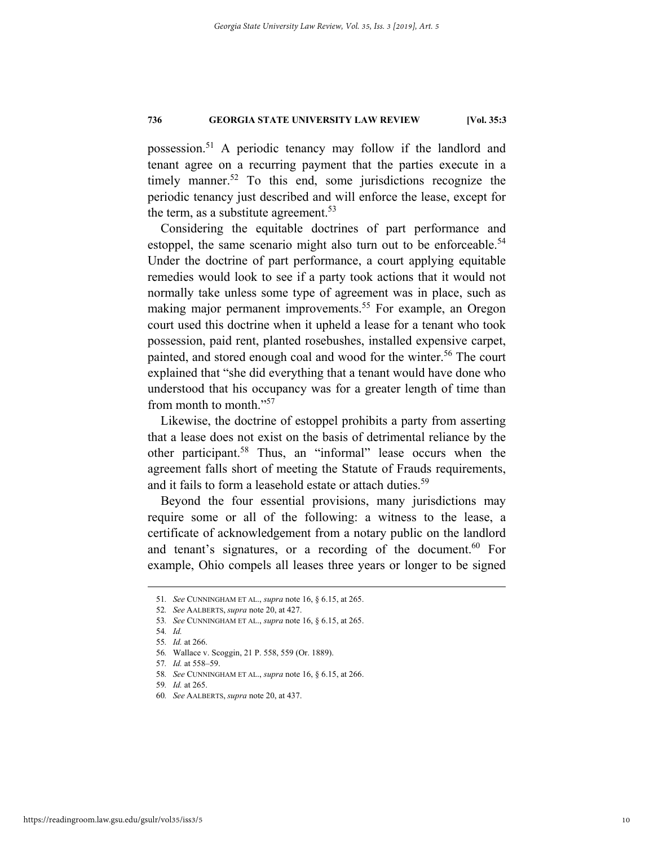possession.51 A periodic tenancy may follow if the landlord and tenant agree on a recurring payment that the parties execute in a timely manner.<sup>52</sup> To this end, some jurisdictions recognize the periodic tenancy just described and will enforce the lease, except for the term, as a substitute agreement.<sup>53</sup>

Considering the equitable doctrines of part performance and estoppel, the same scenario might also turn out to be enforceable.<sup>54</sup> Under the doctrine of part performance, a court applying equitable remedies would look to see if a party took actions that it would not normally take unless some type of agreement was in place, such as making major permanent improvements.<sup>55</sup> For example, an Oregon court used this doctrine when it upheld a lease for a tenant who took possession, paid rent, planted rosebushes, installed expensive carpet, painted, and stored enough coal and wood for the winter.<sup>56</sup> The court explained that "she did everything that a tenant would have done who understood that his occupancy was for a greater length of time than from month to month."<sup>57</sup>

Likewise, the doctrine of estoppel prohibits a party from asserting that a lease does not exist on the basis of detrimental reliance by the other participant.58 Thus, an "informal" lease occurs when the agreement falls short of meeting the Statute of Frauds requirements, and it fails to form a leasehold estate or attach duties.<sup>59</sup>

Beyond the four essential provisions, many jurisdictions may require some or all of the following: a witness to the lease, a certificate of acknowledgement from a notary public on the landlord and tenant's signatures, or a recording of the document.<sup>60</sup> For example, Ohio compels all leases three years or longer to be signed

 <sup>51</sup>*. See* CUNNINGHAM ET AL., *supra* note 16, § 6.15, at 265.

<sup>52</sup>*. See* AALBERTS, *supra* note 20, at 427.

<sup>53</sup>*. See* CUNNINGHAM ET AL., *supra* note 16, § 6.15, at 265.

<sup>54</sup>*. Id.* 

<sup>55</sup>*. Id.* at 266.

<sup>56</sup>*.* Wallace v. Scoggin, 21 P. 558, 559 (Or. 1889).

<sup>57</sup>*. Id.* at 558–59.

<sup>58</sup>*. See* CUNNINGHAM ET AL., *supra* note 16, § 6.15, at 266.

<sup>59</sup>*. Id.* at 265.

<sup>60</sup>*. See* AALBERTS, *supra* note 20, at 437.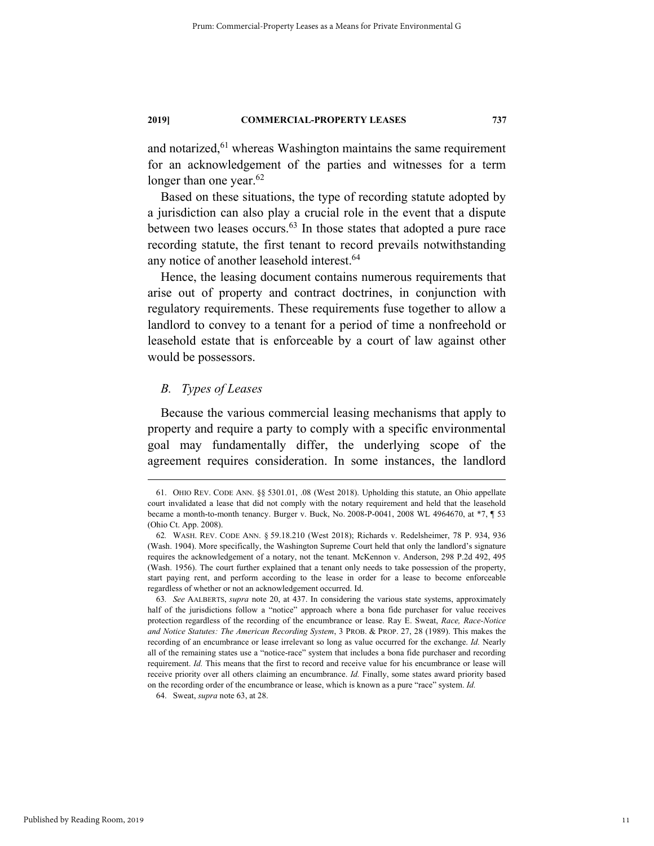and notarized,<sup>61</sup> whereas Washington maintains the same requirement for an acknowledgement of the parties and witnesses for a term longer than one year. $62$ 

Based on these situations, the type of recording statute adopted by a jurisdiction can also play a crucial role in the event that a dispute between two leases occurs. $63$  In those states that adopted a pure race recording statute, the first tenant to record prevails notwithstanding any notice of another leasehold interest.<sup>64</sup>

Hence, the leasing document contains numerous requirements that arise out of property and contract doctrines, in conjunction with regulatory requirements. These requirements fuse together to allow a landlord to convey to a tenant for a period of time a nonfreehold or leasehold estate that is enforceable by a court of law against other would be possessors.

#### *B. Types of Leases*

Because the various commercial leasing mechanisms that apply to property and require a party to comply with a specific environmental goal may fundamentally differ, the underlying scope of the agreement requires consideration. In some instances, the landlord

64. Sweat, *supra* note 63, at 28.

 <sup>61.</sup> OHIO REV. CODE ANN. §§ 5301.01, .08 (West 2018). Upholding this statute, an Ohio appellate court invalidated a lease that did not comply with the notary requirement and held that the leasehold became a month-to-month tenancy. Burger v. Buck, No. 2008-P-0041, 2008 WL 4964670, at \*7, ¶ 53 (Ohio Ct. App. 2008).

<sup>62</sup>*.* WASH. REV. CODE ANN. § 59.18.210 (West 2018); Richards v. Redelsheimer, 78 P. 934, 936 (Wash. 1904). More specifically, the Washington Supreme Court held that only the landlord's signature requires the acknowledgement of a notary, not the tenant. McKennon v. Anderson, 298 P.2d 492, 495 (Wash. 1956). The court further explained that a tenant only needs to take possession of the property, start paying rent, and perform according to the lease in order for a lease to become enforceable regardless of whether or not an acknowledgement occurred. Id.

<sup>63</sup>*. See* AALBERTS, *supra* note 20, at 437. In considering the various state systems, approximately half of the jurisdictions follow a "notice" approach where a bona fide purchaser for value receives protection regardless of the recording of the encumbrance or lease. Ray E. Sweat, *Race, Race-Notice and Notice Statutes: The American Recording System*, 3 PROB. & PROP. 27, 28 (1989). This makes the recording of an encumbrance or lease irrelevant so long as value occurred for the exchange. *Id.* Nearly all of the remaining states use a "notice-race" system that includes a bona fide purchaser and recording requirement. *Id.* This means that the first to record and receive value for his encumbrance or lease will receive priority over all others claiming an encumbrance. *Id.* Finally, some states award priority based on the recording order of the encumbrance or lease, which is known as a pure "race" system. *Id.*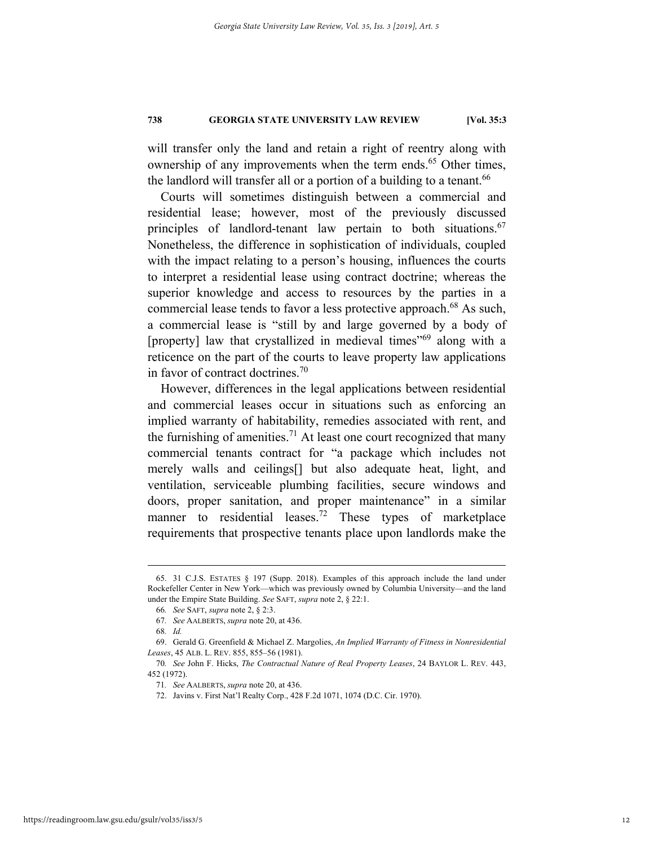will transfer only the land and retain a right of reentry along with ownership of any improvements when the term ends.<sup>65</sup> Other times, the landlord will transfer all or a portion of a building to a tenant.<sup>66</sup>

Courts will sometimes distinguish between a commercial and residential lease; however, most of the previously discussed principles of landlord-tenant law pertain to both situations.<sup>67</sup> Nonetheless, the difference in sophistication of individuals, coupled with the impact relating to a person's housing, influences the courts to interpret a residential lease using contract doctrine; whereas the superior knowledge and access to resources by the parties in a commercial lease tends to favor a less protective approach.<sup>68</sup> As such, a commercial lease is "still by and large governed by a body of [property] law that crystallized in medieval times<sup>"69</sup> along with a reticence on the part of the courts to leave property law applications in favor of contract doctrines.<sup>70</sup>

However, differences in the legal applications between residential and commercial leases occur in situations such as enforcing an implied warranty of habitability, remedies associated with rent, and the furnishing of amenities.<sup>71</sup> At least one court recognized that many commercial tenants contract for "a package which includes not merely walls and ceilings[] but also adequate heat, light, and ventilation, serviceable plumbing facilities, secure windows and doors, proper sanitation, and proper maintenance" in a similar manner to residential leases.<sup>72</sup> These types of marketplace requirements that prospective tenants place upon landlords make the

 <sup>65. 31</sup> C.J.S. ESTATES § 197 (Supp. 2018). Examples of this approach include the land under Rockefeller Center in New York—which was previously owned by Columbia University—and the land under the Empire State Building. *See* SAFT, *supra* note 2, § 22:1.

<sup>66</sup>*. See* SAFT, *supra* note 2, § 2:3.

<sup>67</sup>*. See* AALBERTS, *supra* note 20, at 436.

<sup>68</sup>*. Id.* 

 <sup>69.</sup> Gerald G. Greenfield & Michael Z. Margolies, *An Implied Warranty of Fitness in Nonresidential Leases*, 45 ALB. L. REV. 855, 855–56 (1981).

<sup>70</sup>*. See* John F. Hicks, *The Contractual Nature of Real Property Leases*, 24 BAYLOR L. REV. 443, 452 (1972).

<sup>71</sup>*. See* AALBERTS, *supra* note 20, at 436.

 <sup>72.</sup> Javins v. First Nat'l Realty Corp., 428 F.2d 1071, 1074 (D.C. Cir. 1970).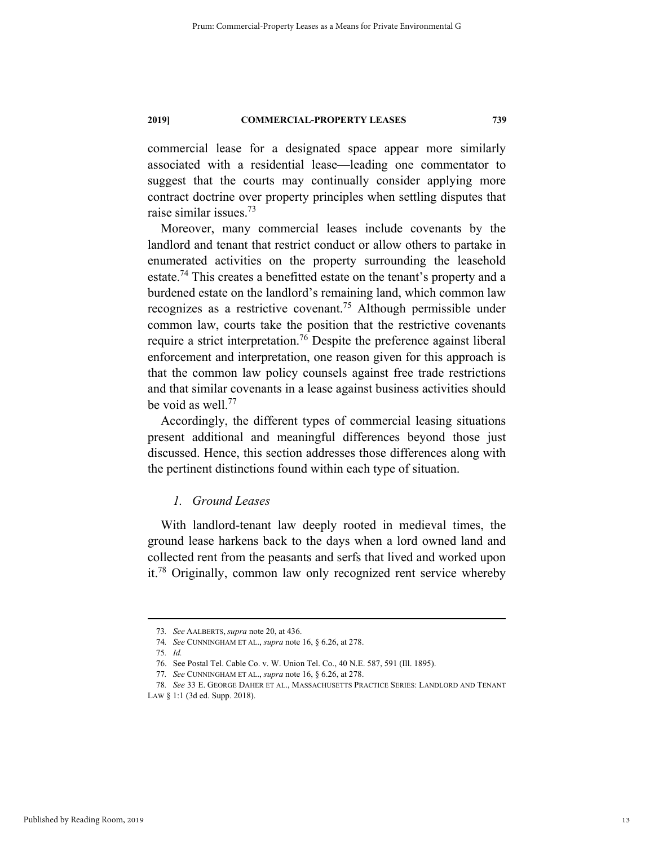commercial lease for a designated space appear more similarly associated with a residential lease—leading one commentator to suggest that the courts may continually consider applying more contract doctrine over property principles when settling disputes that raise similar issues.73

Moreover, many commercial leases include covenants by the landlord and tenant that restrict conduct or allow others to partake in enumerated activities on the property surrounding the leasehold estate.<sup>74</sup> This creates a benefitted estate on the tenant's property and a burdened estate on the landlord's remaining land, which common law recognizes as a restrictive covenant.75 Although permissible under common law, courts take the position that the restrictive covenants require a strict interpretation.<sup>76</sup> Despite the preference against liberal enforcement and interpretation, one reason given for this approach is that the common law policy counsels against free trade restrictions and that similar covenants in a lease against business activities should be void as well.<sup>77</sup>

Accordingly, the different types of commercial leasing situations present additional and meaningful differences beyond those just discussed. Hence, this section addresses those differences along with the pertinent distinctions found within each type of situation.

#### *1. Ground Leases*

With landlord-tenant law deeply rooted in medieval times, the ground lease harkens back to the days when a lord owned land and collected rent from the peasants and serfs that lived and worked upon it.78 Originally, common law only recognized rent service whereby

 <sup>73</sup>*. See* AALBERTS, *supra* note 20, at 436.

<sup>74</sup>*. See* CUNNINGHAM ET AL., *supra* note 16, § 6.26, at 278.

<sup>75</sup>*. Id.* 

 <sup>76.</sup> See Postal Tel. Cable Co. v. W. Union Tel. Co., 40 N.E. 587, 591 (Ill. 1895).

<sup>77</sup>*. See* CUNNINGHAM ET AL., *supra* note 16, § 6.26, at 278.

<sup>78</sup>*. See* 33 E. GEORGE DAHER ET AL., MASSACHUSETTS PRACTICE SERIES: LANDLORD AND TENANT

LAW § 1:1 (3d ed. Supp. 2018).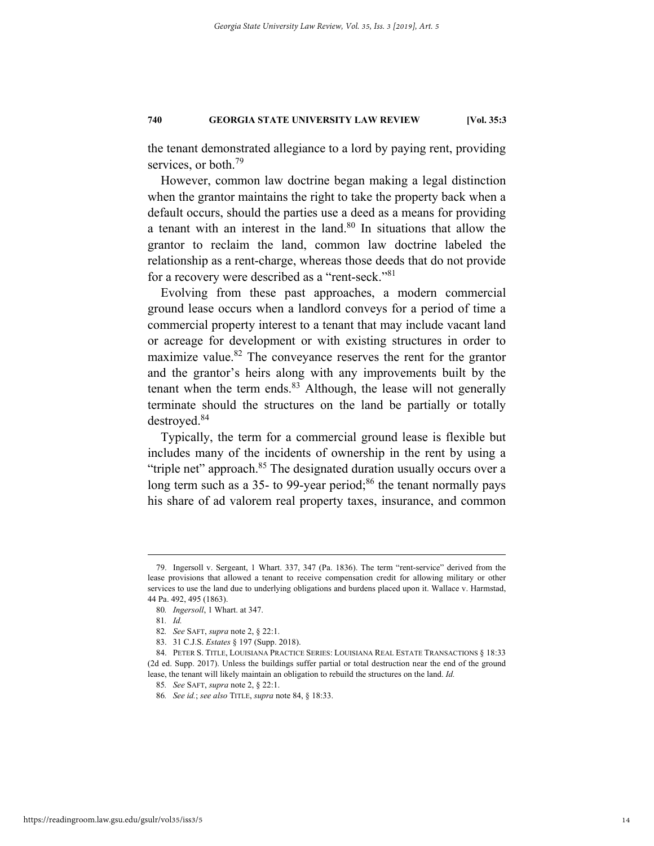the tenant demonstrated allegiance to a lord by paying rent, providing services, or both.<sup>79</sup>

However, common law doctrine began making a legal distinction when the grantor maintains the right to take the property back when a default occurs, should the parties use a deed as a means for providing a tenant with an interest in the land.<sup>80</sup> In situations that allow the grantor to reclaim the land, common law doctrine labeled the relationship as a rent-charge, whereas those deeds that do not provide for a recovery were described as a "rent-seck."81

Evolving from these past approaches, a modern commercial ground lease occurs when a landlord conveys for a period of time a commercial property interest to a tenant that may include vacant land or acreage for development or with existing structures in order to maximize value.<sup>82</sup> The conveyance reserves the rent for the grantor and the grantor's heirs along with any improvements built by the tenant when the term ends. $83$  Although, the lease will not generally terminate should the structures on the land be partially or totally destroyed.84

Typically, the term for a commercial ground lease is flexible but includes many of the incidents of ownership in the rent by using a "triple net" approach.<sup>85</sup> The designated duration usually occurs over a long term such as a 35- to 99-year period; $86$  the tenant normally pays his share of ad valorem real property taxes, insurance, and common

 <sup>79.</sup> Ingersoll v. Sergeant, 1 Whart. 337, 347 (Pa. 1836). The term "rent-service" derived from the lease provisions that allowed a tenant to receive compensation credit for allowing military or other services to use the land due to underlying obligations and burdens placed upon it. Wallace v. Harmstad, 44 Pa. 492, 495 (1863).

<sup>80</sup>*. Ingersoll*, 1 Whart. at 347.

<sup>81</sup>*. Id.*

<sup>82</sup>*. See* SAFT, *supra* note 2, § 22:1.

 <sup>83. 31</sup> C.J.S. *Estates* § 197 (Supp. 2018).

 <sup>84.</sup> PETER S. TITLE, LOUISIANA PRACTICE SERIES: LOUISIANA REAL ESTATE TRANSACTIONS § 18:33 (2d ed. Supp. 2017). Unless the buildings suffer partial or total destruction near the end of the ground lease, the tenant will likely maintain an obligation to rebuild the structures on the land. *Id.*

<sup>85</sup>*. See* SAFT, *supra* note 2, § 22:1.

<sup>86</sup>*. See id.*; *see also* TITLE, *supra* note 84, § 18:33.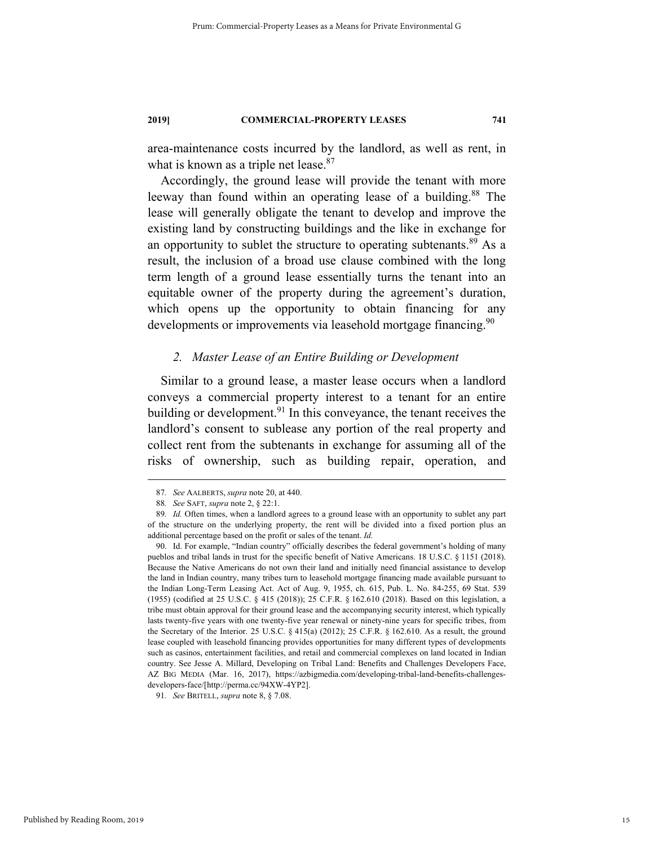area-maintenance costs incurred by the landlord, as well as rent, in what is known as a triple net lease.<sup>87</sup>

Accordingly, the ground lease will provide the tenant with more leeway than found within an operating lease of a building.<sup>88</sup> The lease will generally obligate the tenant to develop and improve the existing land by constructing buildings and the like in exchange for an opportunity to sublet the structure to operating subtenants.<sup>89</sup> As a result, the inclusion of a broad use clause combined with the long term length of a ground lease essentially turns the tenant into an equitable owner of the property during the agreement's duration, which opens up the opportunity to obtain financing for any developments or improvements via leasehold mortgage financing.<sup>90</sup>

#### *2. Master Lease of an Entire Building or Development*

Similar to a ground lease, a master lease occurs when a landlord conveys a commercial property interest to a tenant for an entire building or development. $91$  In this conveyance, the tenant receives the landlord's consent to sublease any portion of the real property and collect rent from the subtenants in exchange for assuming all of the risks of ownership, such as building repair, operation, and

91*. See* BRITELL, *supra* note 8, § 7.08.

 <sup>87</sup>*. See* AALBERTS, *supra* note 20, at 440.

<sup>88</sup>*. See* SAFT, *supra* note 2, § 22:1.

<sup>89</sup>*. Id.* Often times, when a landlord agrees to a ground lease with an opportunity to sublet any part of the structure on the underlying property, the rent will be divided into a fixed portion plus an additional percentage based on the profit or sales of the tenant. *Id.*

 <sup>90.</sup> Id. For example, "Indian country" officially describes the federal government's holding of many pueblos and tribal lands in trust for the specific benefit of Native Americans. 18 U.S.C. § 1151 (2018). Because the Native Americans do not own their land and initially need financial assistance to develop the land in Indian country, many tribes turn to leasehold mortgage financing made available pursuant to the Indian Long-Term Leasing Act. Act of Aug. 9, 1955, ch. 615, Pub. L. No. 84-255, 69 Stat. 539 (1955) (codified at 25 U.S.C. § 415 (2018)); 25 C.F.R. § 162.610 (2018). Based on this legislation, a tribe must obtain approval for their ground lease and the accompanying security interest, which typically lasts twenty-five years with one twenty-five year renewal or ninety-nine years for specific tribes, from the Secretary of the Interior. 25 U.S.C. § 415(a) (2012); 25 C.F.R. § 162.610. As a result, the ground lease coupled with leasehold financing provides opportunities for many different types of developments such as casinos, entertainment facilities, and retail and commercial complexes on land located in Indian country. See Jesse A. Millard, Developing on Tribal Land: Benefits and Challenges Developers Face, AZ BIG MEDIA (Mar. 16, 2017), https://azbigmedia.com/developing-tribal-land-benefits-challengesdevelopers-face/[http://perma.cc/94XW-4YP2].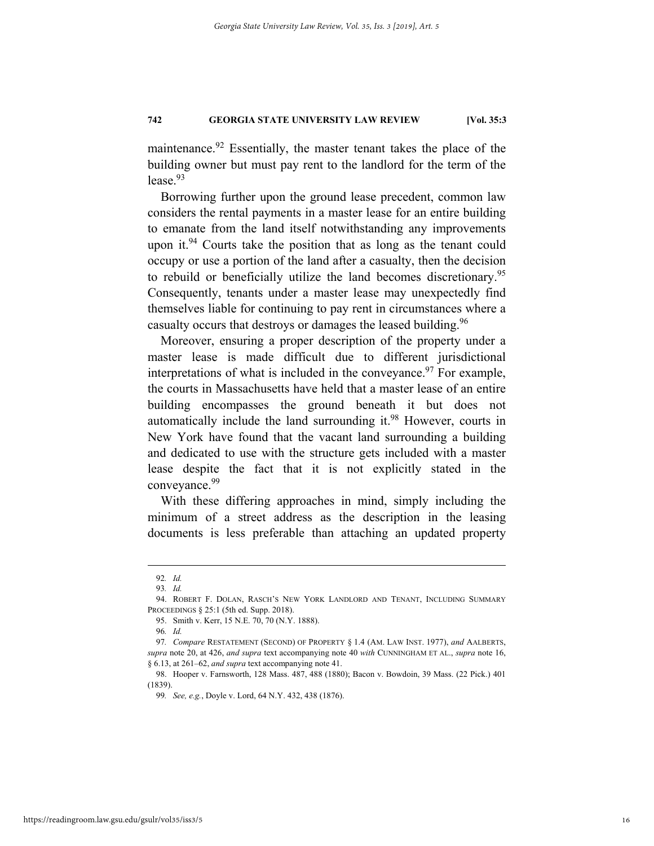maintenance.<sup>92</sup> Essentially, the master tenant takes the place of the building owner but must pay rent to the landlord for the term of the  $lease.<sup>93</sup>$ 

Borrowing further upon the ground lease precedent, common law considers the rental payments in a master lease for an entire building to emanate from the land itself notwithstanding any improvements upon it.<sup>94</sup> Courts take the position that as long as the tenant could occupy or use a portion of the land after a casualty, then the decision to rebuild or beneficially utilize the land becomes discretionary.95 Consequently, tenants under a master lease may unexpectedly find themselves liable for continuing to pay rent in circumstances where a casualty occurs that destroys or damages the leased building.<sup>96</sup>

Moreover, ensuring a proper description of the property under a master lease is made difficult due to different jurisdictional interpretations of what is included in the conveyance.<sup>97</sup> For example, the courts in Massachusetts have held that a master lease of an entire building encompasses the ground beneath it but does not automatically include the land surrounding it.98 However, courts in New York have found that the vacant land surrounding a building and dedicated to use with the structure gets included with a master lease despite the fact that it is not explicitly stated in the conveyance.<sup>99</sup>

With these differing approaches in mind, simply including the minimum of a street address as the description in the leasing documents is less preferable than attaching an updated property

 <sup>92</sup>*. Id.* 

<sup>93</sup>*. Id.*

 <sup>94.</sup> ROBERT F. DOLAN, RASCH'S NEW YORK LANDLORD AND TENANT, INCLUDING SUMMARY PROCEEDINGS § 25:1 (5th ed. Supp. 2018).

 <sup>95.</sup> Smith v. Kerr, 15 N.E. 70, 70 (N.Y. 1888).

<sup>96</sup>*. Id.*

<sup>97</sup>*. Compare* RESTATEMENT (SECOND) OF PROPERTY § 1.4 (AM. LAW INST. 1977), *and* AALBERTS, *supra* note 20, at 426, *and supra* text accompanying note 40 *with* CUNNINGHAM ET AL., *supra* note 16, § 6.13, at 261–62, *and supra* text accompanying note 41.

 <sup>98.</sup> Hooper v. Farnsworth, 128 Mass. 487, 488 (1880); Bacon v. Bowdoin, 39 Mass. (22 Pick.) 401 (1839).

<sup>99</sup>*. See, e.g.*, Doyle v. Lord, 64 N.Y. 432, 438 (1876).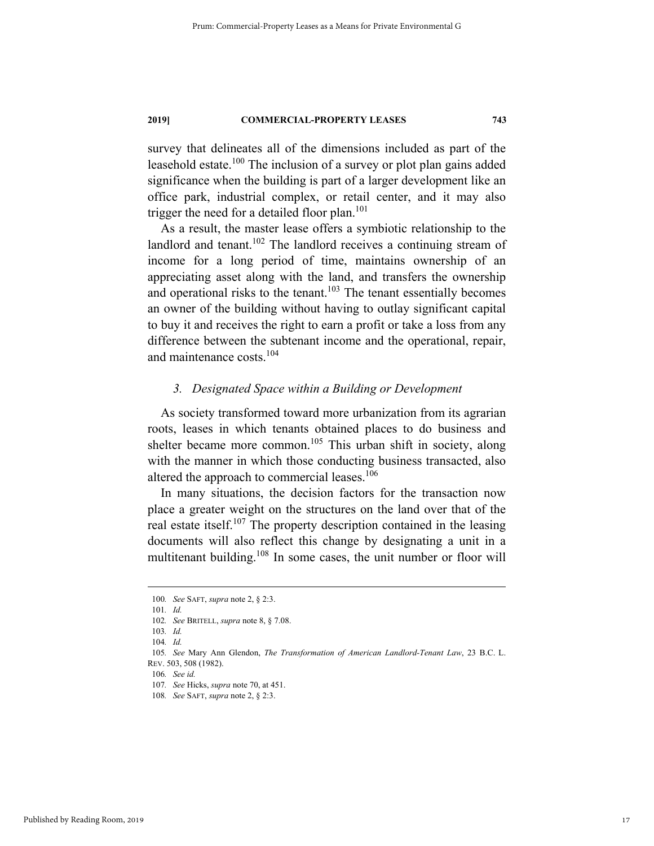survey that delineates all of the dimensions included as part of the leasehold estate.<sup>100</sup> The inclusion of a survey or plot plan gains added significance when the building is part of a larger development like an office park, industrial complex, or retail center, and it may also trigger the need for a detailed floor plan.<sup>101</sup>

As a result, the master lease offers a symbiotic relationship to the landlord and tenant.<sup>102</sup> The landlord receives a continuing stream of income for a long period of time, maintains ownership of an appreciating asset along with the land, and transfers the ownership and operational risks to the tenant.<sup>103</sup> The tenant essentially becomes an owner of the building without having to outlay significant capital to buy it and receives the right to earn a profit or take a loss from any difference between the subtenant income and the operational, repair, and maintenance costs.<sup>104</sup>

#### *3. Designated Space within a Building or Development*

As society transformed toward more urbanization from its agrarian roots, leases in which tenants obtained places to do business and shelter became more common.<sup>105</sup> This urban shift in society, along with the manner in which those conducting business transacted, also altered the approach to commercial leases.<sup>106</sup>

In many situations, the decision factors for the transaction now place a greater weight on the structures on the land over that of the real estate itself.<sup>107</sup> The property description contained in the leasing documents will also reflect this change by designating a unit in a multitenant building.<sup>108</sup> In some cases, the unit number or floor will

 <sup>100</sup>*. See* SAFT, *supra* note 2, § 2:3.

<sup>101</sup>*. Id.* 

<sup>102</sup>*. See* BRITELL, *supra* note 8, § 7.08.

<sup>103</sup>*. Id.*

<sup>104</sup>*. Id.*

<sup>105</sup>*. See* Mary Ann Glendon, *The Transformation of American Landlord-Tenant Law*, 23 B.C. L. REV. 503, 508 (1982).

<sup>106</sup>*. See id.* 

<sup>107</sup>*. See* Hicks, *supra* note 70, at 451.

<sup>108</sup>*. See* SAFT, *supra* note 2, § 2:3.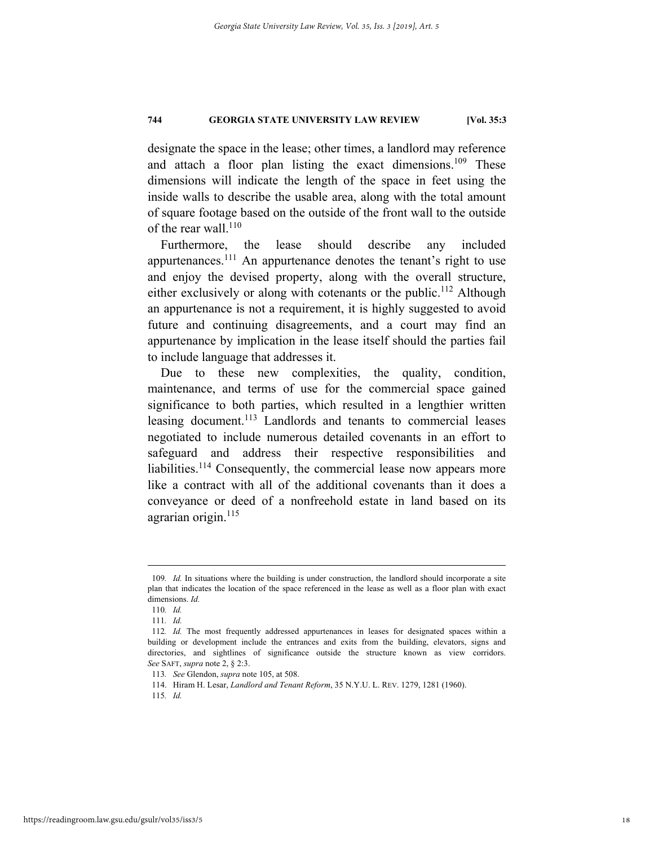designate the space in the lease; other times, a landlord may reference and attach a floor plan listing the exact dimensions.<sup>109</sup> These dimensions will indicate the length of the space in feet using the inside walls to describe the usable area, along with the total amount of square footage based on the outside of the front wall to the outside of the rear wall. $^{110}$ 

Furthermore, the lease should describe any included appurtenances.111 An appurtenance denotes the tenant's right to use and enjoy the devised property, along with the overall structure, either exclusively or along with cotenants or the public.<sup>112</sup> Although an appurtenance is not a requirement, it is highly suggested to avoid future and continuing disagreements, and a court may find an appurtenance by implication in the lease itself should the parties fail to include language that addresses it.

Due to these new complexities, the quality, condition, maintenance, and terms of use for the commercial space gained significance to both parties, which resulted in a lengthier written leasing document.<sup>113</sup> Landlords and tenants to commercial leases negotiated to include numerous detailed covenants in an effort to safeguard and address their respective responsibilities and liabilities.<sup>114</sup> Consequently, the commercial lease now appears more like a contract with all of the additional covenants than it does a conveyance or deed of a nonfreehold estate in land based on its agrarian origin.<sup>115</sup>

 <sup>109</sup>*. Id.* In situations where the building is under construction, the landlord should incorporate a site plan that indicates the location of the space referenced in the lease as well as a floor plan with exact dimensions. *Id.*

<sup>110</sup>*. Id.* 

<sup>111</sup>*. Id.* 

<sup>112</sup>*. Id.* The most frequently addressed appurtenances in leases for designated spaces within a building or development include the entrances and exits from the building, elevators, signs and directories, and sightlines of significance outside the structure known as view corridors. *See* SAFT, *supra* note 2, § 2:3.

<sup>113</sup>*. See* Glendon, *supra* note 105, at 508.

 <sup>114.</sup> Hiram H. Lesar, *Landlord and Tenant Reform*, 35 N.Y.U. L. REV. 1279, 1281 (1960).

<sup>115</sup>*. Id.*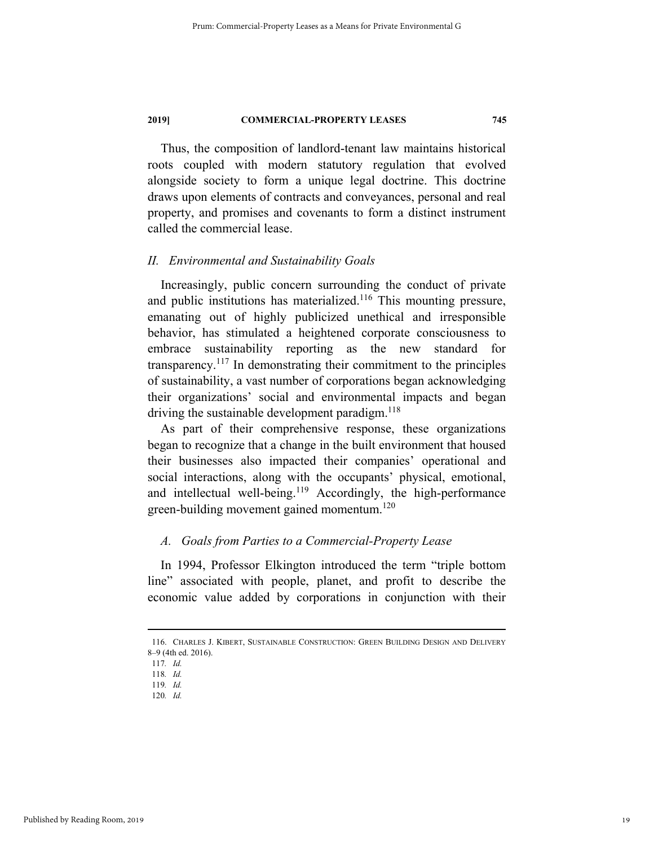Thus, the composition of landlord-tenant law maintains historical roots coupled with modern statutory regulation that evolved alongside society to form a unique legal doctrine. This doctrine draws upon elements of contracts and conveyances, personal and real property, and promises and covenants to form a distinct instrument called the commercial lease.

#### *II. Environmental and Sustainability Goals*

Increasingly, public concern surrounding the conduct of private and public institutions has materialized.<sup>116</sup> This mounting pressure, emanating out of highly publicized unethical and irresponsible behavior, has stimulated a heightened corporate consciousness to embrace sustainability reporting as the new standard for transparency.117 In demonstrating their commitment to the principles of sustainability, a vast number of corporations began acknowledging their organizations' social and environmental impacts and began driving the sustainable development paradigm. $118$ 

As part of their comprehensive response, these organizations began to recognize that a change in the built environment that housed their businesses also impacted their companies' operational and social interactions, along with the occupants' physical, emotional, and intellectual well-being.<sup>119</sup> Accordingly, the high-performance green-building movement gained momentum.<sup>120</sup>

#### *A. Goals from Parties to a Commercial-Property Lease*

In 1994, Professor Elkington introduced the term "triple bottom line" associated with people, planet, and profit to describe the economic value added by corporations in conjunction with their

 <sup>116.</sup> CHARLES J. KIBERT, SUSTAINABLE CONSTRUCTION: GREEN BUILDING DESIGN AND DELIVERY 8–9 (4th ed. 2016).

<sup>117</sup>*. Id.* 

<sup>118</sup>*. Id.* 

<sup>119</sup>*. Id.* 

<sup>120</sup>*. Id.*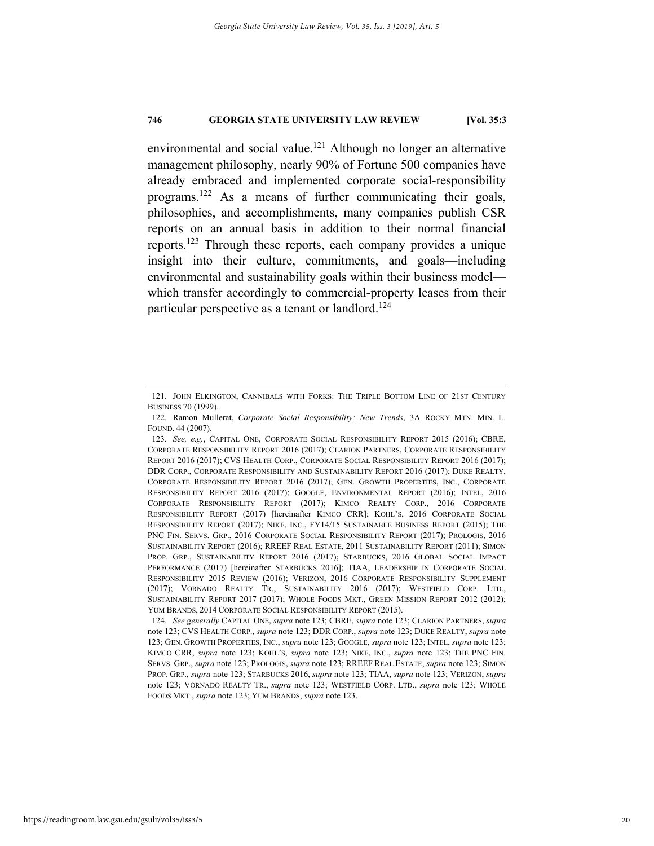environmental and social value.<sup>121</sup> Although no longer an alternative management philosophy, nearly 90% of Fortune 500 companies have already embraced and implemented corporate social-responsibility programs.122 As a means of further communicating their goals, philosophies, and accomplishments, many companies publish CSR reports on an annual basis in addition to their normal financial reports.123 Through these reports, each company provides a unique insight into their culture, commitments, and goals—including environmental and sustainability goals within their business model which transfer accordingly to commercial-property leases from their particular perspective as a tenant or landlord.<sup>124</sup>

 <sup>121.</sup> JOHN ELKINGTON, CANNIBALS WITH FORKS: THE TRIPLE BOTTOM LINE OF 21ST CENTURY BUSINESS 70 (1999).

 <sup>122.</sup> Ramon Mullerat, *Corporate Social Responsibility: New Trends*, 3A ROCKY MTN. MIN. L. FOUND. 44 (2007).

<sup>123</sup>*. See, e.g.*, CAPITAL ONE, CORPORATE SOCIAL RESPONSIBILITY REPORT 2015 (2016); CBRE, CORPORATE RESPONSIBILITY REPORT 2016 (2017); CLARION PARTNERS, CORPORATE RESPONSIBILITY REPORT 2016 (2017); CVS HEALTH CORP., CORPORATE SOCIAL RESPONSIBILITY REPORT 2016 (2017); DDR CORP., CORPORATE RESPONSIBILITY AND SUSTAINABILITY REPORT 2016 (2017); DUKE REALTY, CORPORATE RESPONSIBILITY REPORT 2016 (2017); GEN. GROWTH PROPERTIES, INC., CORPORATE RESPONSIBILITY REPORT 2016 (2017); GOOGLE, ENVIRONMENTAL REPORT (2016); INTEL, 2016 CORPORATE RESPONSIBILITY REPORT (2017); KIMCO REALTY CORP., 2016 CORPORATE RESPONSIBILITY REPORT (2017) [hereinafter KIMCO CRR]; KOHL'S, 2016 CORPORATE SOCIAL RESPONSIBILITY REPORT (2017); NIKE, INC., FY14/15 SUSTAINABLE BUSINESS REPORT (2015); THE PNC FIN. SERVS. GRP., 2016 CORPORATE SOCIAL RESPONSIBILITY REPORT (2017); PROLOGIS, 2016 SUSTAINABILITY REPORT (2016); RREEF REAL ESTATE, 2011 SUSTAINABILITY REPORT (2011); SIMON PROP. GRP., SUSTAINABILITY REPORT 2016 (2017); STARBUCKS, 2016 GLOBAL SOCIAL IMPACT PERFORMANCE (2017) [hereinafter STARBUCKS 2016]; TIAA, LEADERSHIP IN CORPORATE SOCIAL RESPONSIBILITY 2015 REVIEW (2016); VERIZON, 2016 CORPORATE RESPONSIBILITY SUPPLEMENT (2017); VORNADO REALTY TR., SUSTAINABILITY 2016 (2017); WESTFIELD CORP. LTD., SUSTAINABILITY REPORT 2017 (2017); WHOLE FOODS MKT., GREEN MISSION REPORT 2012 (2012); YUM BRANDS, 2014 CORPORATE SOCIAL RESPONSIBILITY REPORT (2015).

<sup>124</sup>*. See generally* CAPITAL ONE, *supra* note 123; CBRE, *supra* note 123; CLARION PARTNERS, *supra* note 123; CVS HEALTH CORP., *supra* note 123; DDR CORP., *supra* note 123; DUKE REALTY, *supra* note 123; GEN. GROWTH PROPERTIES, INC., *supra* note 123; GOOGLE, *supra* note 123; INTEL, *supra* note 123; KIMCO CRR, *supra* note 123; KOHL'S, *supra* note 123; NIKE, INC., *supra* note 123; THE PNC FIN. SERVS. GRP., *supra* note 123; PROLOGIS, *supra* note 123; RREEF REAL ESTATE, *supra* note 123; SIMON PROP. GRP., *supra* note 123; STARBUCKS 2016, *supra* note 123; TIAA, *supra* note 123; VERIZON, *supra* note 123; VORNADO REALTY TR., *supra* note 123; WESTFIELD CORP. LTD., *supra* note 123; WHOLE FOODS MKT., *supra* note 123; YUM BRANDS, *supra* note 123.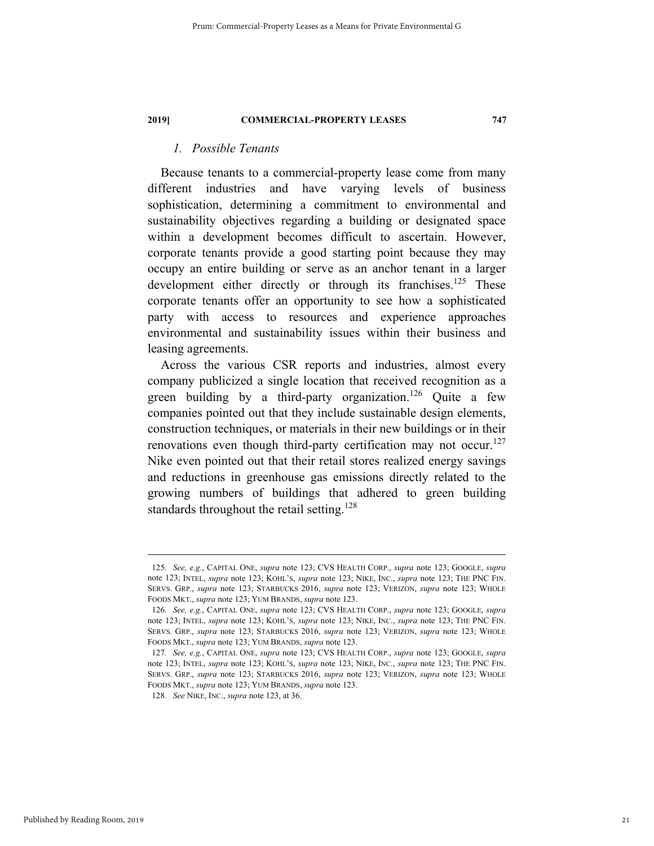#### *1. Possible Tenants*

Because tenants to a commercial-property lease come from many different industries and have varying levels of business sophistication, determining a commitment to environmental and sustainability objectives regarding a building or designated space within a development becomes difficult to ascertain. However, corporate tenants provide a good starting point because they may occupy an entire building or serve as an anchor tenant in a larger development either directly or through its franchises.<sup>125</sup> These corporate tenants offer an opportunity to see how a sophisticated party with access to resources and experience approaches environmental and sustainability issues within their business and leasing agreements.

Across the various CSR reports and industries, almost every company publicized a single location that received recognition as a green building by a third-party organization.<sup>126</sup> Quite a few companies pointed out that they include sustainable design elements, construction techniques, or materials in their new buildings or in their renovations even though third-party certification may not occur.<sup>127</sup> Nike even pointed out that their retail stores realized energy savings and reductions in greenhouse gas emissions directly related to the growing numbers of buildings that adhered to green building standards throughout the retail setting.<sup>128</sup>

 <sup>125</sup>*. See, e.g.*, CAPITAL ONE, *supra* note 123; CVS HEALTH CORP., *supra* note 123; GOOGLE, *supra* note 123; INTEL, *supra* note 123; KOHL'S, *supra* note 123; NIKE, INC., *supra* note 123; THE PNC FIN. SERVS. GRP., *supra* note 123; STARBUCKS 2016, *supra* note 123; VERIZON, *supra* note 123; WHOLE FOODS MKT., *supra* note 123; YUM BRANDS, *supra* note 123.

<sup>126</sup>*. See, e.g.*, CAPITAL ONE, *supra* note 123; CVS HEALTH CORP., *supra* note 123; GOOGLE, *supra* note 123; INTEL, *supra* note 123; KOHL'S, *supra* note 123; NIKE, INC., *supra* note 123; THE PNC FIN. SERVS. GRP., *supra* note 123; STARBUCKS 2016, *supra* note 123; VERIZON, *supra* note 123; WHOLE FOODS MKT., *supra* note 123; YUM BRANDS, *supra* note 123.

<sup>127</sup>*. See, e.g.*, CAPITAL ONE, *supra* note 123; CVS HEALTH CORP., *supra* note 123; GOOGLE, *supra* note 123; INTEL, *supra* note 123; KOHL'S, *supra* note 123; NIKE, INC., *supra* note 123; THE PNC FIN. SERVS. GRP., *supra* note 123; STARBUCKS 2016, *supra* note 123; VERIZON, *supra* note 123; WHOLE FOODS MKT., *supra* note 123; YUM BRANDS, *supra* note 123.

<sup>128</sup>*. See* NIKE, INC., *supra* note 123, at 36.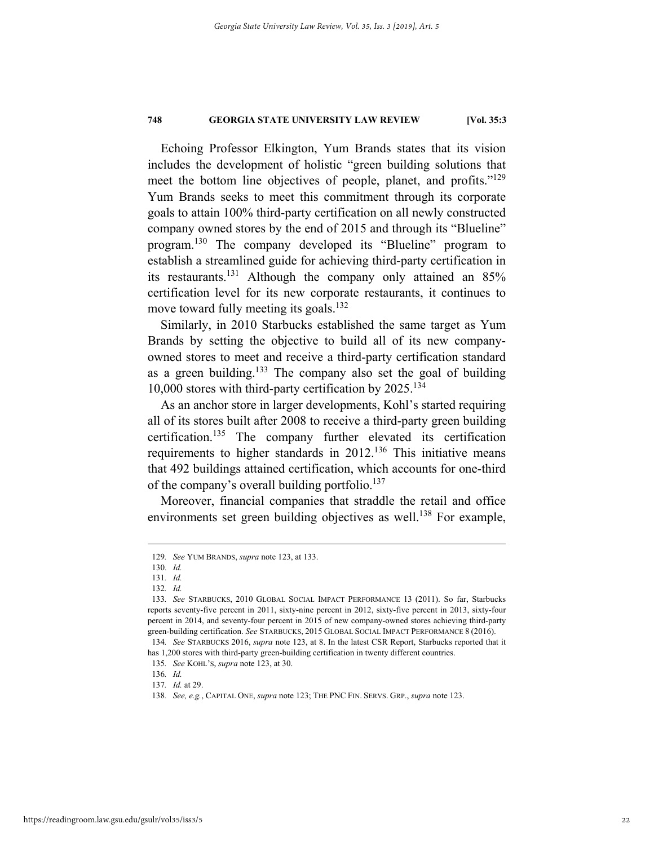Echoing Professor Elkington, Yum Brands states that its vision includes the development of holistic "green building solutions that meet the bottom line objectives of people, planet, and profits."<sup>129</sup> Yum Brands seeks to meet this commitment through its corporate goals to attain 100% third-party certification on all newly constructed company owned stores by the end of 2015 and through its "Blueline" program.130 The company developed its "Blueline" program to establish a streamlined guide for achieving third-party certification in its restaurants.131 Although the company only attained an 85% certification level for its new corporate restaurants, it continues to move toward fully meeting its goals.<sup>132</sup>

Similarly, in 2010 Starbucks established the same target as Yum Brands by setting the objective to build all of its new companyowned stores to meet and receive a third-party certification standard as a green building.<sup>133</sup> The company also set the goal of building 10,000 stores with third-party certification by  $2025$ .<sup>134</sup>

As an anchor store in larger developments, Kohl's started requiring all of its stores built after 2008 to receive a third-party green building certification.<sup>135</sup> The company further elevated its certification requirements to higher standards in 2012.<sup>136</sup> This initiative means that 492 buildings attained certification, which accounts for one-third of the company's overall building portfolio. $137$ 

Moreover, financial companies that straddle the retail and office environments set green building objectives as well.<sup>138</sup> For example,

 <sup>129</sup>*. See* YUM BRANDS, *supra* note 123, at 133.

<sup>130</sup>*. Id.* 

<sup>131</sup>*. Id.* 

<sup>132</sup>*. Id.* 

<sup>133</sup>*. See* STARBUCKS, 2010 GLOBAL SOCIAL IMPACT PERFORMANCE 13 (2011). So far, Starbucks reports seventy-five percent in 2011, sixty-nine percent in 2012, sixty-five percent in 2013, sixty-four percent in 2014, and seventy-four percent in 2015 of new company-owned stores achieving third-party green-building certification. *See* STARBUCKS, 2015 GLOBAL SOCIAL IMPACT PERFORMANCE 8 (2016).

<sup>134</sup>*. See* STARBUCKS 2016, *supra* note 123, at 8. In the latest CSR Report, Starbucks reported that it has 1,200 stores with third-party green-building certification in twenty different countries.

<sup>135</sup>*. See* KOHL'S, *supra* note 123, at 30.

<sup>136</sup>*. Id.* 

<sup>137</sup>*. Id.* at 29.

<sup>138</sup>*. See, e.g.*, CAPITAL ONE, *supra* note 123; THE PNC FIN. SERVS. GRP., *supra* note 123.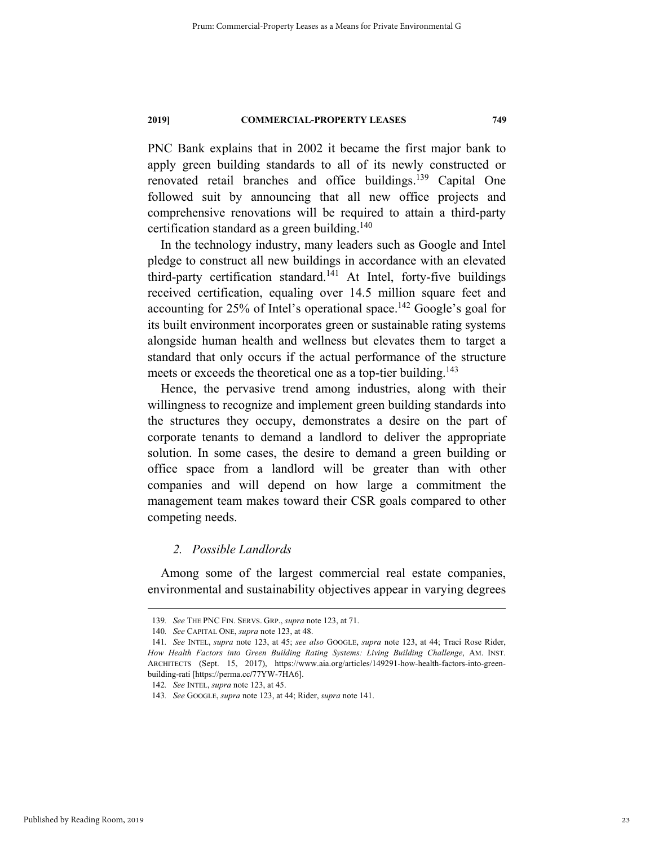PNC Bank explains that in 2002 it became the first major bank to apply green building standards to all of its newly constructed or renovated retail branches and office buildings.139 Capital One followed suit by announcing that all new office projects and comprehensive renovations will be required to attain a third-party certification standard as a green building. $140$ 

In the technology industry, many leaders such as Google and Intel pledge to construct all new buildings in accordance with an elevated third-party certification standard.<sup>141</sup> At Intel, forty-five buildings received certification, equaling over 14.5 million square feet and accounting for 25% of Intel's operational space.<sup>142</sup> Google's goal for its built environment incorporates green or sustainable rating systems alongside human health and wellness but elevates them to target a standard that only occurs if the actual performance of the structure meets or exceeds the theoretical one as a top-tier building.<sup>143</sup>

Hence, the pervasive trend among industries, along with their willingness to recognize and implement green building standards into the structures they occupy, demonstrates a desire on the part of corporate tenants to demand a landlord to deliver the appropriate solution. In some cases, the desire to demand a green building or office space from a landlord will be greater than with other companies and will depend on how large a commitment the management team makes toward their CSR goals compared to other competing needs.

#### *2. Possible Landlords*

Among some of the largest commercial real estate companies, environmental and sustainability objectives appear in varying degrees

 <sup>139</sup>*. See* THE PNC FIN. SERVS. GRP., *supra* note 123, at 71.

<sup>140</sup>*. See* CAPITAL ONE, *supra* note 123, at 48.

<sup>141</sup>*. See* INTEL, *supra* note 123, at 45; *see also* GOOGLE, *supra* note 123, at 44; Traci Rose Rider, *How Health Factors into Green Building Rating Systems: Living Building Challenge*, AM. INST. ARCHITECTS (Sept. 15, 2017), https://www.aia.org/articles/149291-how-health-factors-into-greenbuilding-rati [https://perma.cc**/**77YW-7HA6].

<sup>142</sup>*. See* INTEL, *supra* note 123, at 45.

<sup>143</sup>*. See* GOOGLE, *supra* note 123, at 44; Rider, *supra* note 141.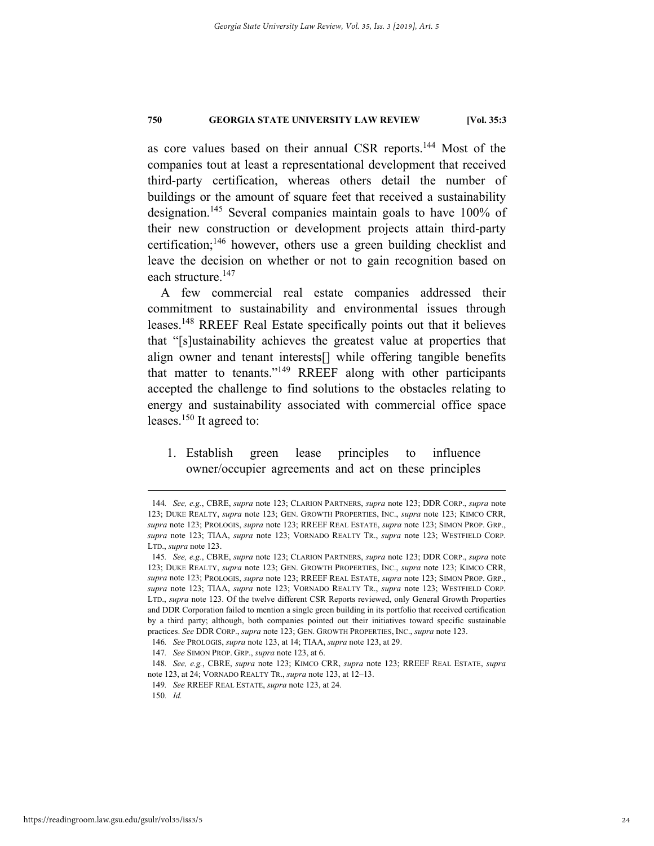as core values based on their annual CSR reports.144 Most of the companies tout at least a representational development that received third-party certification, whereas others detail the number of buildings or the amount of square feet that received a sustainability designation.145 Several companies maintain goals to have 100% of their new construction or development projects attain third-party certification;<sup>146</sup> however, others use a green building checklist and leave the decision on whether or not to gain recognition based on each structure.<sup>147</sup>

A few commercial real estate companies addressed their commitment to sustainability and environmental issues through leases.148 RREEF Real Estate specifically points out that it believes that "[s]ustainability achieves the greatest value at properties that align owner and tenant interests[] while offering tangible benefits that matter to tenants."149 RREEF along with other participants accepted the challenge to find solutions to the obstacles relating to energy and sustainability associated with commercial office space leases.<sup>150</sup> It agreed to:

1. Establish green lease principles to influence owner/occupier agreements and act on these principles

 <sup>144</sup>*. See, e.g.*, CBRE, *supra* note 123; CLARION PARTNERS, *supra* note 123; DDR CORP., *supra* note 123; DUKE REALTY, *supra* note 123; GEN. GROWTH PROPERTIES, INC., *supra* note 123; KIMCO CRR, *supra* note 123; PROLOGIS, *supra* note 123; RREEF REAL ESTATE, *supra* note 123; SIMON PROP. GRP., *supra* note 123; TIAA, *supra* note 123; VORNADO REALTY TR., *supra* note 123; WESTFIELD CORP. LTD., *supra* note 123.

<sup>145</sup>*. See, e.g.*, CBRE, *supra* note 123; CLARION PARTNERS, *supra* note 123; DDR CORP., *supra* note 123; DUKE REALTY, *supra* note 123; GEN. GROWTH PROPERTIES, INC., *supra* note 123; KIMCO CRR, *supra* note 123; PROLOGIS, *supra* note 123; RREEF REAL ESTATE, *supra* note 123; SIMON PROP. GRP., *supra* note 123; TIAA, *supra* note 123; VORNADO REALTY TR., *supra* note 123; WESTFIELD CORP. LTD., *supra* note 123. Of the twelve different CSR Reports reviewed, only General Growth Properties and DDR Corporation failed to mention a single green building in its portfolio that received certification by a third party; although, both companies pointed out their initiatives toward specific sustainable practices. *See* DDR CORP., *supra* note 123; GEN. GROWTH PROPERTIES, INC., *supra* note 123.

<sup>146</sup>*. See* PROLOGIS, *supra* note 123, at 14; TIAA, *supra* note 123, at 29.

<sup>147</sup>*. See* SIMON PROP. GRP., *supra* note 123, at 6.

<sup>148</sup>*. See, e.g.*, CBRE, *supra* note 123; KIMCO CRR, *supra* note 123; RREEF REAL ESTATE, *supra* note 123, at 24; VORNADO REALTY TR., *supra* note 123, at 12–13.

<sup>149</sup>*. See* RREEF REAL ESTATE, *supra* note 123, at 24.

<sup>150</sup>*. Id.*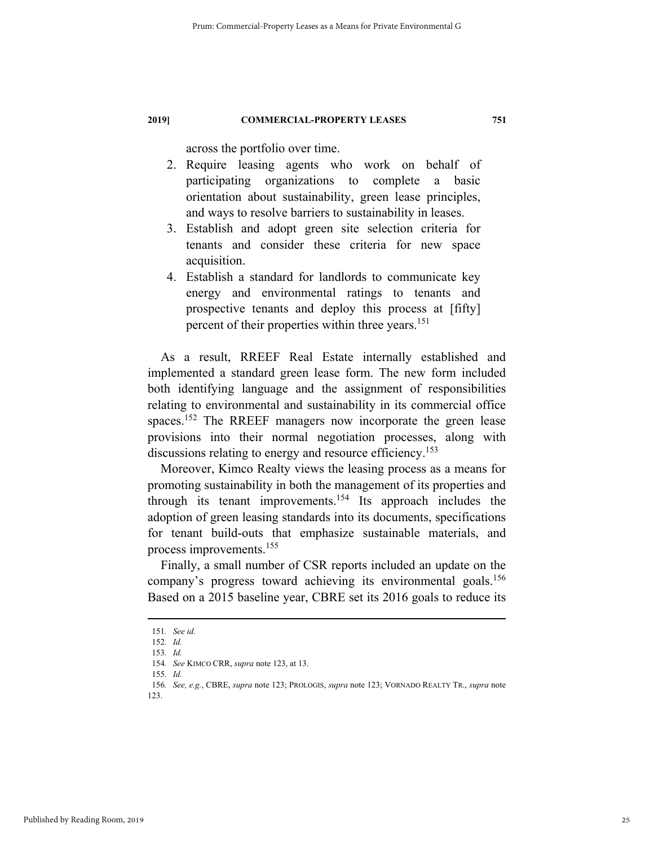across the portfolio over time.

- 2. Require leasing agents who work on behalf of participating organizations to complete a basic orientation about sustainability, green lease principles, and ways to resolve barriers to sustainability in leases.
- 3. Establish and adopt green site selection criteria for tenants and consider these criteria for new space acquisition.
- 4. Establish a standard for landlords to communicate key energy and environmental ratings to tenants and prospective tenants and deploy this process at [fifty] percent of their properties within three years.<sup>151</sup>

As a result, RREEF Real Estate internally established and implemented a standard green lease form. The new form included both identifying language and the assignment of responsibilities relating to environmental and sustainability in its commercial office spaces.<sup>152</sup> The RREEF managers now incorporate the green lease provisions into their normal negotiation processes, along with discussions relating to energy and resource efficiency.<sup>153</sup>

Moreover, Kimco Realty views the leasing process as a means for promoting sustainability in both the management of its properties and through its tenant improvements.154 Its approach includes the adoption of green leasing standards into its documents, specifications for tenant build-outs that emphasize sustainable materials, and process improvements.155

Finally, a small number of CSR reports included an update on the company's progress toward achieving its environmental goals.<sup>156</sup> Based on a 2015 baseline year, CBRE set its 2016 goals to reduce its

 <sup>151</sup>*. See id.*

<sup>152</sup>*. Id.* 

<sup>153</sup>*. Id.* 

<sup>154</sup>*. See* KIMCO CRR, *supra* note 123, at 13.

<sup>155</sup>*. Id.* 

<sup>156</sup>*. See, e.g.*, CBRE, *supra* note 123; PROLOGIS, *supra* note 123; VORNADO REALTY TR., *supra* note 123.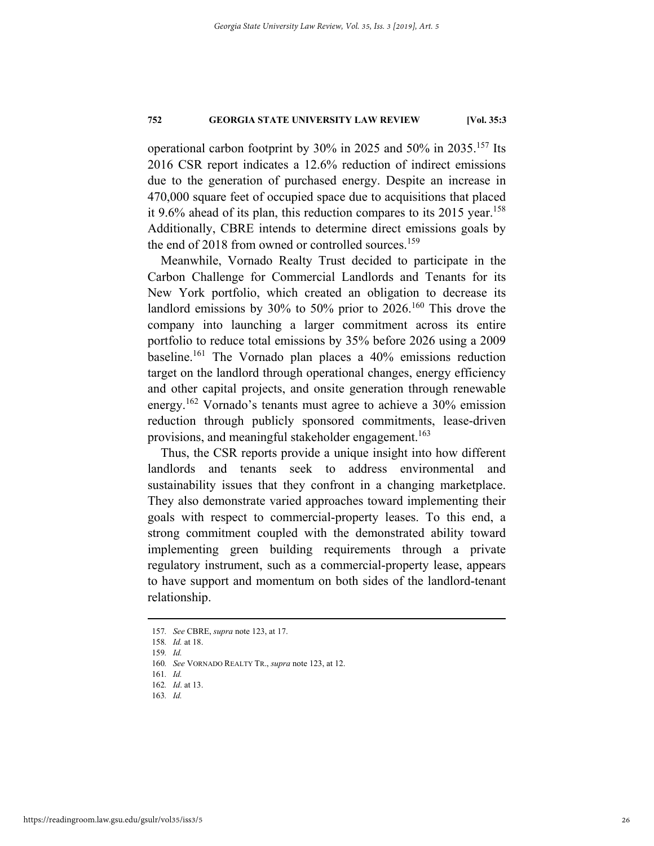operational carbon footprint by 30% in 2025 and 50% in 2035.157 Its 2016 CSR report indicates a 12.6% reduction of indirect emissions due to the generation of purchased energy. Despite an increase in 470,000 square feet of occupied space due to acquisitions that placed it 9.6% ahead of its plan, this reduction compares to its 2015 year.<sup>158</sup> Additionally, CBRE intends to determine direct emissions goals by the end of 2018 from owned or controlled sources.<sup>159</sup>

Meanwhile, Vornado Realty Trust decided to participate in the Carbon Challenge for Commercial Landlords and Tenants for its New York portfolio, which created an obligation to decrease its landlord emissions by 30% to 50% prior to 2026.<sup>160</sup> This drove the company into launching a larger commitment across its entire portfolio to reduce total emissions by 35% before 2026 using a 2009 baseline.161 The Vornado plan places a 40% emissions reduction target on the landlord through operational changes, energy efficiency and other capital projects, and onsite generation through renewable energy.<sup>162</sup> Vornado's tenants must agree to achieve a 30% emission reduction through publicly sponsored commitments, lease-driven provisions, and meaningful stakeholder engagement.<sup>163</sup>

Thus, the CSR reports provide a unique insight into how different landlords and tenants seek to address environmental and sustainability issues that they confront in a changing marketplace. They also demonstrate varied approaches toward implementing their goals with respect to commercial-property leases. To this end, a strong commitment coupled with the demonstrated ability toward implementing green building requirements through a private regulatory instrument, such as a commercial-property lease, appears to have support and momentum on both sides of the landlord-tenant relationship.

 <sup>157</sup>*. See* CBRE, *supra* note 123, at 17.

<sup>158</sup>*. Id.* at 18.

<sup>159</sup>*. Id.* 

<sup>160</sup>*. See* VORNADO REALTY TR., *supra* note 123, at 12.

<sup>161</sup>*. Id.* 

<sup>162</sup>*. Id*. at 13.

<sup>163</sup>*. Id.*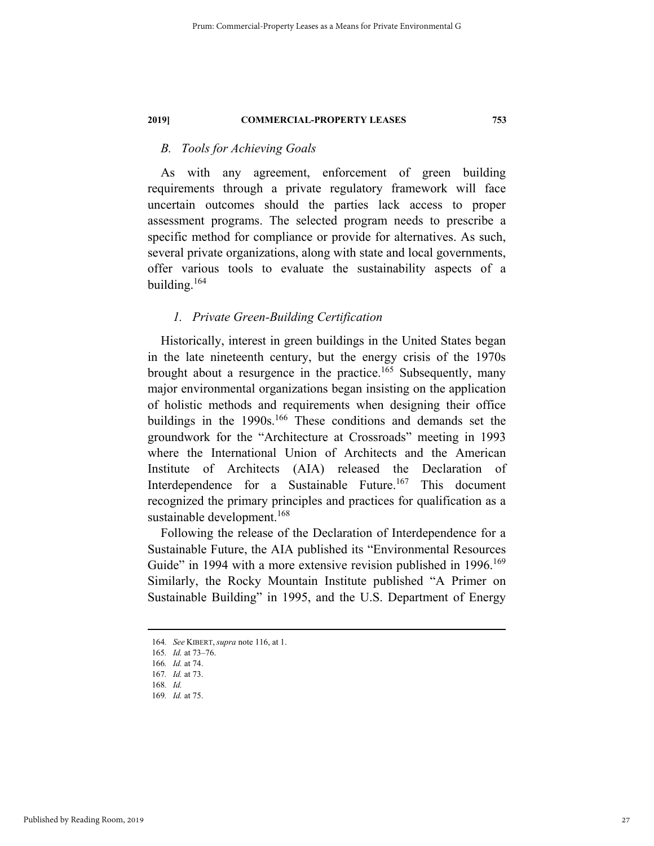#### *B. Tools for Achieving Goals*

As with any agreement, enforcement of green building requirements through a private regulatory framework will face uncertain outcomes should the parties lack access to proper assessment programs. The selected program needs to prescribe a specific method for compliance or provide for alternatives. As such, several private organizations, along with state and local governments, offer various tools to evaluate the sustainability aspects of a building.164

#### *1. Private Green-Building Certification*

Historically, interest in green buildings in the United States began in the late nineteenth century, but the energy crisis of the 1970s brought about a resurgence in the practice.<sup>165</sup> Subsequently, many major environmental organizations began insisting on the application of holistic methods and requirements when designing their office buildings in the 1990s.<sup>166</sup> These conditions and demands set the groundwork for the "Architecture at Crossroads" meeting in 1993 where the International Union of Architects and the American Institute of Architects (AIA) released the Declaration of Interdependence for a Sustainable Future.<sup>167</sup> This document recognized the primary principles and practices for qualification as a sustainable development.<sup>168</sup>

Following the release of the Declaration of Interdependence for a Sustainable Future, the AIA published its "Environmental Resources Guide" in 1994 with a more extensive revision published in 1996.<sup>169</sup> Similarly, the Rocky Mountain Institute published "A Primer on Sustainable Building" in 1995, and the U.S. Department of Energy

 <sup>164</sup>*. See* KIBERT, *supra* note 116, at 1.

<sup>165</sup>*. Id.* at 73–76. 166*. Id.* at 74.

<sup>167</sup>*. Id.* at 73.

<sup>168</sup>*. Id.* 

<sup>169</sup>*. Id.* at 75.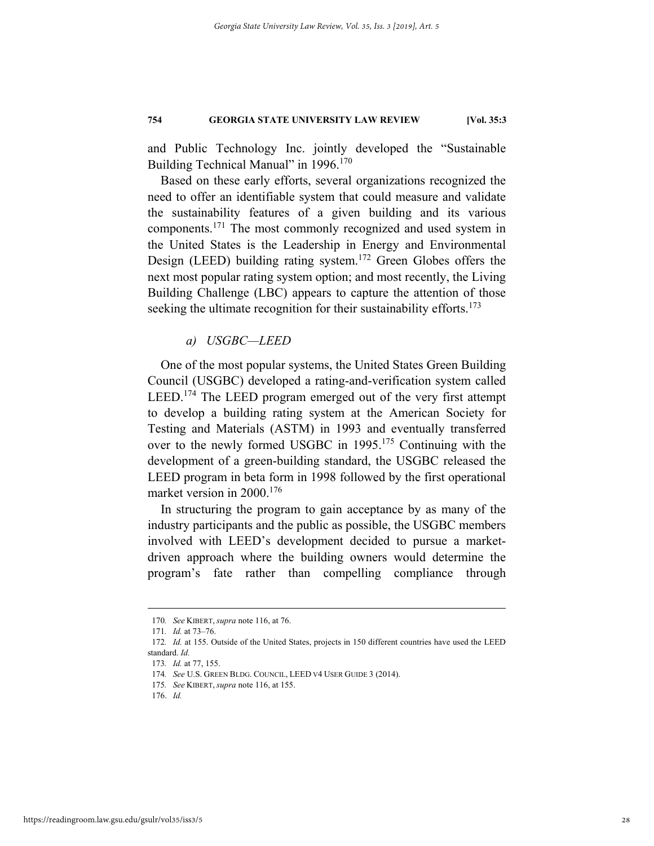and Public Technology Inc. jointly developed the "Sustainable Building Technical Manual" in 1996.<sup>170</sup>

Based on these early efforts, several organizations recognized the need to offer an identifiable system that could measure and validate the sustainability features of a given building and its various components.171 The most commonly recognized and used system in the United States is the Leadership in Energy and Environmental Design (LEED) building rating system.<sup>172</sup> Green Globes offers the next most popular rating system option; and most recently, the Living Building Challenge (LBC) appears to capture the attention of those seeking the ultimate recognition for their sustainability efforts. $173$ 

*a) USGBC—LEED* 

One of the most popular systems, the United States Green Building Council (USGBC) developed a rating-and-verification system called LEED.<sup>174</sup> The LEED program emerged out of the very first attempt to develop a building rating system at the American Society for Testing and Materials (ASTM) in 1993 and eventually transferred over to the newly formed USGBC in 1995.175 Continuing with the development of a green-building standard, the USGBC released the LEED program in beta form in 1998 followed by the first operational market version in 2000.<sup>176</sup>

In structuring the program to gain acceptance by as many of the industry participants and the public as possible, the USGBC members involved with LEED's development decided to pursue a marketdriven approach where the building owners would determine the program's fate rather than compelling compliance through

 <sup>170</sup>*. See* KIBERT, *supra* note 116, at 76.

<sup>171</sup>*. Id.* at 73–76.

<sup>172</sup>*. Id.* at 155. Outside of the United States, projects in 150 different countries have used the LEED standard. *Id.*

<sup>173</sup>*. Id.* at 77, 155.

<sup>174</sup>*. See* U.S. GREEN BLDG. COUNCIL, LEED V4 USER GUIDE 3 (2014).

<sup>175</sup>*. See* KIBERT, *supra* note 116, at 155.

 <sup>176.</sup> *Id.*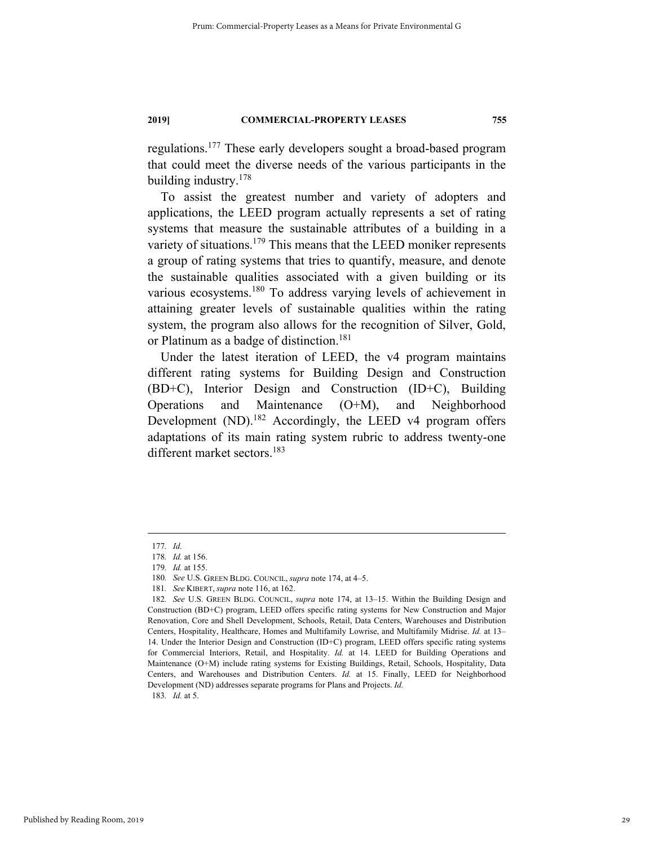regulations.177 These early developers sought a broad-based program that could meet the diverse needs of the various participants in the building industry.178

To assist the greatest number and variety of adopters and applications, the LEED program actually represents a set of rating systems that measure the sustainable attributes of a building in a variety of situations.<sup>179</sup> This means that the LEED moniker represents a group of rating systems that tries to quantify, measure, and denote the sustainable qualities associated with a given building or its various ecosystems.<sup>180</sup> To address varying levels of achievement in attaining greater levels of sustainable qualities within the rating system, the program also allows for the recognition of Silver, Gold, or Platinum as a badge of distinction.<sup>181</sup>

Under the latest iteration of LEED, the v4 program maintains different rating systems for Building Design and Construction (BD+C), Interior Design and Construction (ID+C), Building Operations and Maintenance (O+M), and Neighborhood Development  $(ND)$ .<sup>182</sup> Accordingly, the LEED v4 program offers adaptations of its main rating system rubric to address twenty-one different market sectors.<sup>183</sup>

 <sup>177</sup>*. Id.*

<sup>178</sup>*. Id.* at 156.

<sup>179</sup>*. Id.* at 155.

<sup>180</sup>*. See* U.S. GREEN BLDG. COUNCIL, *supra* note 174, at 4–5.

<sup>181</sup>*. See* KIBERT, *supra* note 116, at 162.

<sup>182</sup>*. See* U.S. GREEN BLDG. COUNCIL, *supra* note 174, at 13–15. Within the Building Design and Construction (BD+C) program, LEED offers specific rating systems for New Construction and Major Renovation, Core and Shell Development, Schools, Retail, Data Centers, Warehouses and Distribution Centers, Hospitality, Healthcare, Homes and Multifamily Lowrise, and Multifamily Midrise. *Id.* at 13– 14. Under the Interior Design and Construction (ID+C) program, LEED offers specific rating systems for Commercial Interiors, Retail, and Hospitality. *Id.* at 14. LEED for Building Operations and Maintenance (O+M) include rating systems for Existing Buildings, Retail, Schools, Hospitality, Data Centers, and Warehouses and Distribution Centers. *Id.* at 15. Finally, LEED for Neighborhood Development (ND) addresses separate programs for Plans and Projects. *Id.* 183*. Id.* at 5.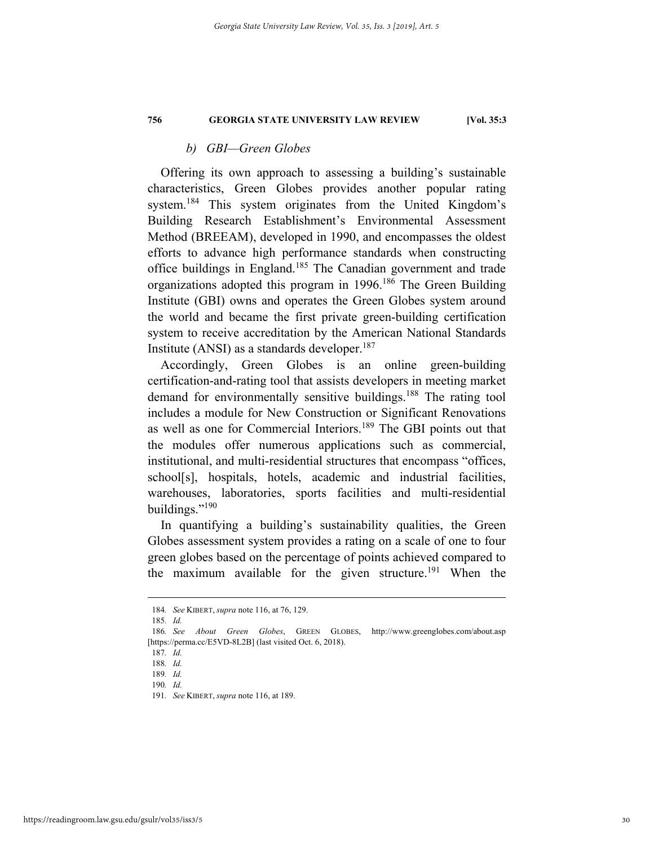#### *b) GBI—Green Globes*

Offering its own approach to assessing a building's sustainable characteristics, Green Globes provides another popular rating system.<sup>184</sup> This system originates from the United Kingdom's Building Research Establishment's Environmental Assessment Method (BREEAM), developed in 1990, and encompasses the oldest efforts to advance high performance standards when constructing office buildings in England.185 The Canadian government and trade organizations adopted this program in 1996.186 The Green Building Institute (GBI) owns and operates the Green Globes system around the world and became the first private green-building certification system to receive accreditation by the American National Standards Institute (ANSI) as a standards developer.<sup>187</sup>

Accordingly, Green Globes is an online green-building certification-and-rating tool that assists developers in meeting market demand for environmentally sensitive buildings.<sup>188</sup> The rating tool includes a module for New Construction or Significant Renovations as well as one for Commercial Interiors.189 The GBI points out that the modules offer numerous applications such as commercial, institutional, and multi-residential structures that encompass "offices, school[s], hospitals, hotels, academic and industrial facilities, warehouses, laboratories, sports facilities and multi-residential buildings."<sup>190</sup>

In quantifying a building's sustainability qualities, the Green Globes assessment system provides a rating on a scale of one to four green globes based on the percentage of points achieved compared to the maximum available for the given structure.<sup>191</sup> When the

 <sup>184</sup>*. See* KIBERT, *supra* note 116, at 76, 129.

<sup>185</sup>*. Id.*

<sup>186</sup>*. See About Green Globes*, GREEN GLOBES, http://www.greenglobes.com/about.asp [https://perma.cc/E5VD-8L2B] (last visited Oct. 6, 2018).

<sup>187</sup>*. Id.*

<sup>188</sup>*. Id.* 

<sup>189</sup>*. Id.* 

<sup>190</sup>*. Id.* 

<sup>191</sup>*. See* KIBERT, *supra* note 116, at 189.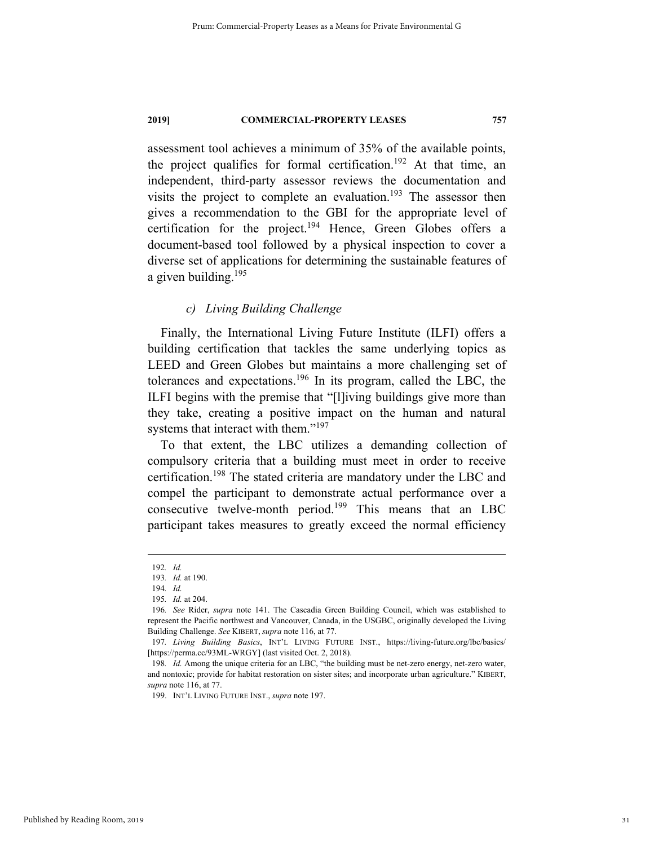assessment tool achieves a minimum of 35% of the available points, the project qualifies for formal certification.<sup>192</sup> At that time, an independent, third-party assessor reviews the documentation and visits the project to complete an evaluation.<sup>193</sup> The assessor then gives a recommendation to the GBI for the appropriate level of certification for the project.<sup>194</sup> Hence, Green Globes offers a document-based tool followed by a physical inspection to cover a diverse set of applications for determining the sustainable features of a given building. $195$ 

#### *c) Living Building Challenge*

Finally, the International Living Future Institute (ILFI) offers a building certification that tackles the same underlying topics as LEED and Green Globes but maintains a more challenging set of tolerances and expectations.196 In its program, called the LBC, the ILFI begins with the premise that "[l]iving buildings give more than they take, creating a positive impact on the human and natural systems that interact with them."<sup>197</sup>

To that extent, the LBC utilizes a demanding collection of compulsory criteria that a building must meet in order to receive certification.198 The stated criteria are mandatory under the LBC and compel the participant to demonstrate actual performance over a consecutive twelve-month period.<sup>199</sup> This means that an LBC participant takes measures to greatly exceed the normal efficiency

 <sup>192</sup>*. Id.*

<sup>193</sup>*. Id.* at 190.

<sup>194</sup>*. Id.*  195*. Id.* at 204.

<sup>196</sup>*. See* Rider, *supra* note 141. The Cascadia Green Building Council, which was established to represent the Pacific northwest and Vancouver, Canada, in the USGBC, originally developed the Living Building Challenge. *See* KIBERT, *supra* note 116, at 77.

<sup>197</sup>*. Living Building Basics*, INT'L LIVING FUTURE INST., https://living-future.org/lbc/basics/ [https://perma.cc/93ML-WRGY] (last visited Oct. 2, 2018).

<sup>198</sup>*. Id.* Among the unique criteria for an LBC, "the building must be net-zero energy, net-zero water, and nontoxic; provide for habitat restoration on sister sites; and incorporate urban agriculture." KIBERT, *supra* note 116, at 77.

 <sup>199.</sup> INT'L LIVING FUTURE INST., *supra* note 197.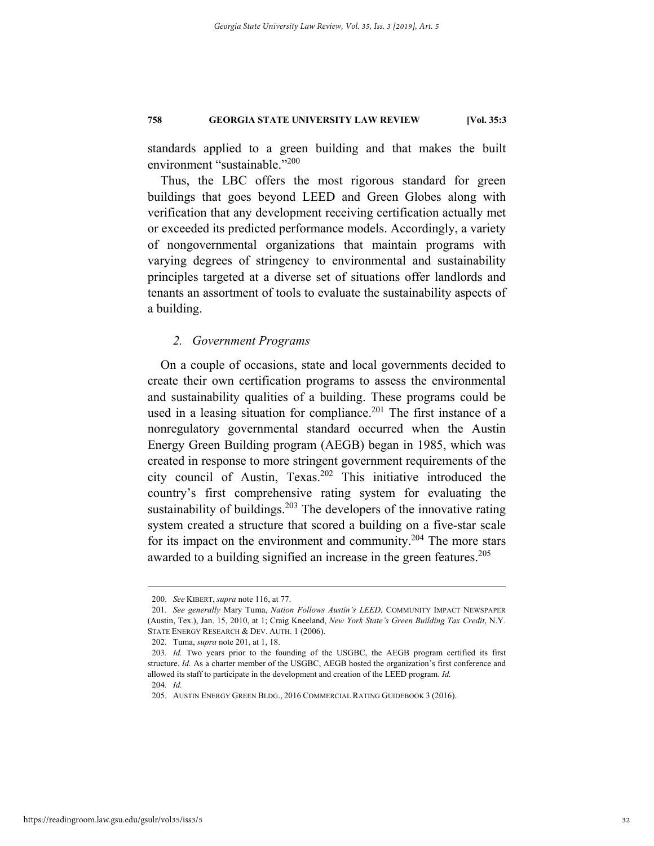standards applied to a green building and that makes the built environment "sustainable."200

Thus, the LBC offers the most rigorous standard for green buildings that goes beyond LEED and Green Globes along with verification that any development receiving certification actually met or exceeded its predicted performance models. Accordingly, a variety of nongovernmental organizations that maintain programs with varying degrees of stringency to environmental and sustainability principles targeted at a diverse set of situations offer landlords and tenants an assortment of tools to evaluate the sustainability aspects of a building.

#### *2. Government Programs*

On a couple of occasions, state and local governments decided to create their own certification programs to assess the environmental and sustainability qualities of a building. These programs could be used in a leasing situation for compliance.<sup>201</sup> The first instance of a nonregulatory governmental standard occurred when the Austin Energy Green Building program (AEGB) began in 1985, which was created in response to more stringent government requirements of the city council of Austin, Texas.202 This initiative introduced the country's first comprehensive rating system for evaluating the sustainability of buildings.<sup>203</sup> The developers of the innovative rating system created a structure that scored a building on a five-star scale for its impact on the environment and community.<sup>204</sup> The more stars awarded to a building signified an increase in the green features.<sup>205</sup>

 <sup>200.</sup> *See* KIBERT, *supra* note 116, at 77.

<sup>201</sup>*. See generally* Mary Tuma, *Nation Follows Austin's LEED*, COMMUNITY IMPACT NEWSPAPER (Austin, Tex.), Jan. 15, 2010, at 1; Craig Kneeland, *New York State's Green Building Tax Credit*, N.Y. STATE ENERGY RESEARCH & DEV. AUTH. 1 (2006).

 <sup>202.</sup> Tuma, *supra* note 201, at 1, 18.

<sup>203</sup>*. Id.* Two years prior to the founding of the USGBC, the AEGB program certified its first structure. *Id.* As a charter member of the USGBC, AEGB hosted the organization's first conference and allowed its staff to participate in the development and creation of the LEED program. *Id.* 204*. Id.* 

 <sup>205.</sup> AUSTIN ENERGY GREEN BLDG., 2016 COMMERCIAL RATING GUIDEBOOK 3 (2016).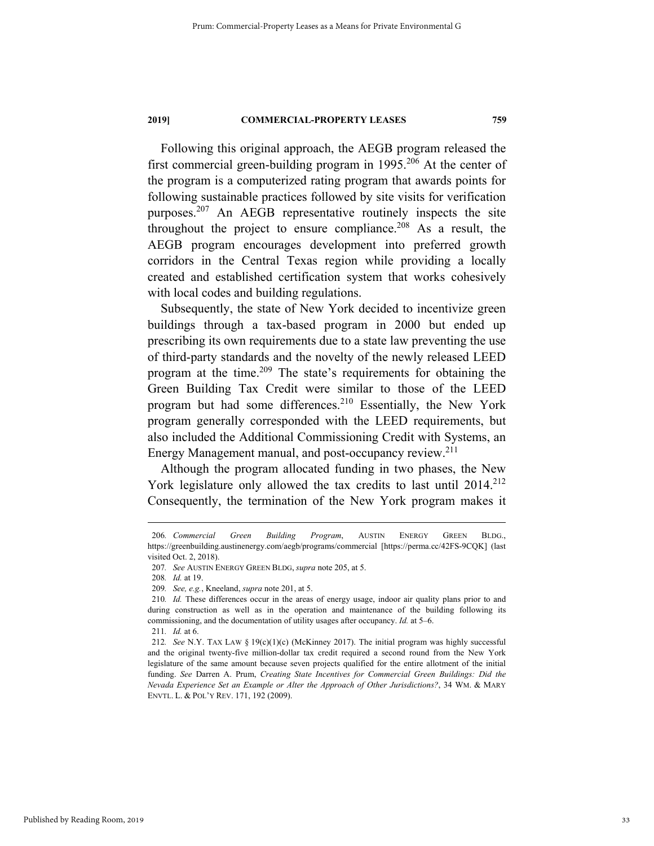Following this original approach, the AEGB program released the first commercial green-building program in 1995.<sup>206</sup> At the center of the program is a computerized rating program that awards points for following sustainable practices followed by site visits for verification purposes.207 An AEGB representative routinely inspects the site throughout the project to ensure compliance.<sup>208</sup> As a result, the AEGB program encourages development into preferred growth corridors in the Central Texas region while providing a locally created and established certification system that works cohesively with local codes and building regulations.

Subsequently, the state of New York decided to incentivize green buildings through a tax-based program in 2000 but ended up prescribing its own requirements due to a state law preventing the use of third-party standards and the novelty of the newly released LEED program at the time.209 The state's requirements for obtaining the Green Building Tax Credit were similar to those of the LEED program but had some differences.<sup>210</sup> Essentially, the New York program generally corresponded with the LEED requirements, but also included the Additional Commissioning Credit with Systems, an Energy Management manual, and post-occupancy review.211

Although the program allocated funding in two phases, the New York legislature only allowed the tax credits to last until 2014.<sup>212</sup> Consequently, the termination of the New York program makes it

 <sup>206</sup>*. Commercial Green Building Program*, AUSTIN ENERGY GREEN BLDG., https://greenbuilding.austinenergy.com/aegb/programs/commercial [https://perma.cc/42FS-9CQK] (last visited Oct. 2, 2018).

<sup>207</sup>*. See* AUSTIN ENERGY GREEN BLDG, *supra* note 205, at 5.

<sup>208</sup>*. Id.* at 19.

<sup>209</sup>*. See, e.g.*, Kneeland, *supra* note 201, at 5.

<sup>210</sup>*. Id.* These differences occur in the areas of energy usage, indoor air quality plans prior to and during construction as well as in the operation and maintenance of the building following its commissioning, and the documentation of utility usages after occupancy. *Id.* at 5–6.

<sup>211</sup>*. Id.* at 6.

<sup>212</sup>*. See* N.Y. TAX LAW § 19(c)(1)(c) (McKinney 2017). The initial program was highly successful and the original twenty-five million-dollar tax credit required a second round from the New York legislature of the same amount because seven projects qualified for the entire allotment of the initial funding. *See* Darren A. Prum, *Creating State Incentives for Commercial Green Buildings: Did the Nevada Experience Set an Example or Alter the Approach of Other Jurisdictions?*, 34 WM. & MARY ENVTL. L. & POL'Y REV. 171, 192 (2009).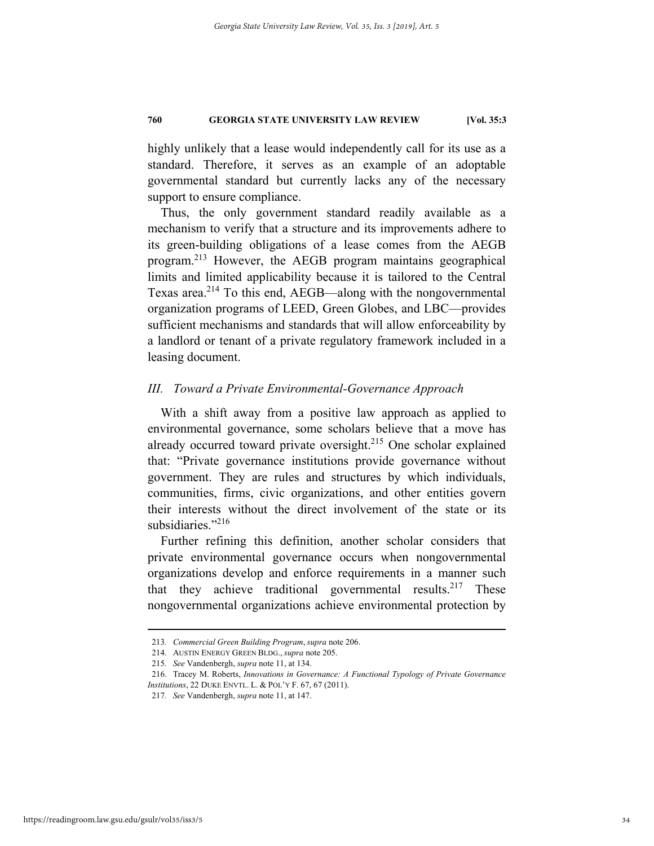highly unlikely that a lease would independently call for its use as a standard. Therefore, it serves as an example of an adoptable governmental standard but currently lacks any of the necessary support to ensure compliance.

Thus, the only government standard readily available as a mechanism to verify that a structure and its improvements adhere to its green-building obligations of a lease comes from the AEGB program.213 However, the AEGB program maintains geographical limits and limited applicability because it is tailored to the Central Texas area.<sup>214</sup> To this end, AEGB—along with the nongovernmental organization programs of LEED, Green Globes, and LBC—provides sufficient mechanisms and standards that will allow enforceability by a landlord or tenant of a private regulatory framework included in a leasing document.

## *III. Toward a Private Environmental-Governance Approach*

With a shift away from a positive law approach as applied to environmental governance, some scholars believe that a move has already occurred toward private oversight.<sup>215</sup> One scholar explained that: "Private governance institutions provide governance without government. They are rules and structures by which individuals, communities, firms, civic organizations, and other entities govern their interests without the direct involvement of the state or its subsidiaries."<sup>216</sup>

Further refining this definition, another scholar considers that private environmental governance occurs when nongovernmental organizations develop and enforce requirements in a manner such that they achieve traditional governmental results.<sup>217</sup> These nongovernmental organizations achieve environmental protection by

 <sup>213</sup>*. Commercial Green Building Program*, *supra* note 206.

 <sup>214.</sup> AUSTIN ENERGY GREEN BLDG., *supra* note 205.

<sup>215</sup>*. See* Vandenbergh, *supra* note 11, at 134.

 <sup>216.</sup> Tracey M. Roberts, *Innovations in Governance: A Functional Typology of Private Governance Institutions*, 22 DUKE ENVTL. L. & POL'Y F. 67, 67 (2011).

<sup>217</sup>*. See* Vandenbergh, *supra* note 11, at 147.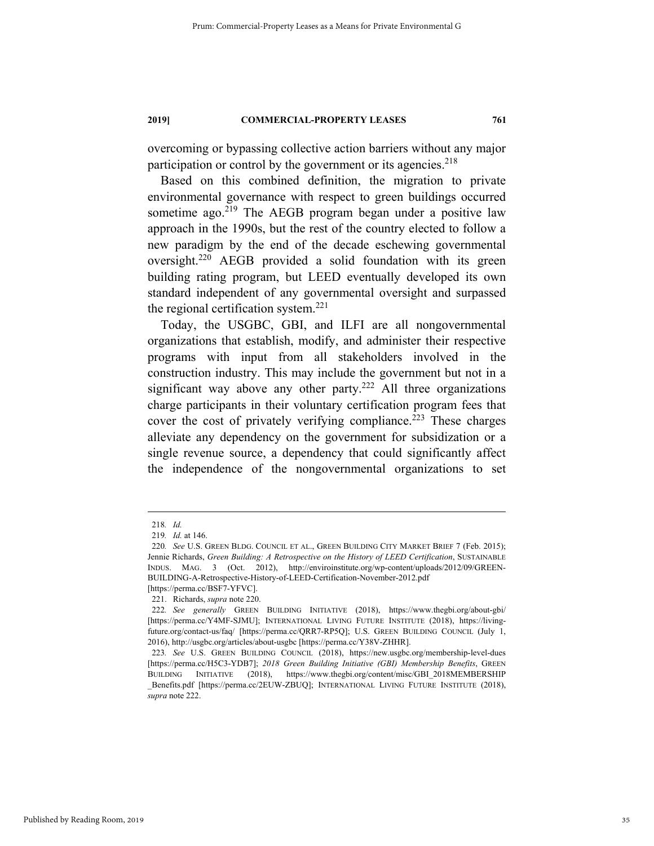overcoming or bypassing collective action barriers without any major participation or control by the government or its agencies. $218$ 

Based on this combined definition, the migration to private environmental governance with respect to green buildings occurred sometime ago. $219$  The AEGB program began under a positive law approach in the 1990s, but the rest of the country elected to follow a new paradigm by the end of the decade eschewing governmental oversight.220 AEGB provided a solid foundation with its green building rating program, but LEED eventually developed its own standard independent of any governmental oversight and surpassed the regional certification system.<sup>221</sup>

Today, the USGBC, GBI, and ILFI are all nongovernmental organizations that establish, modify, and administer their respective programs with input from all stakeholders involved in the construction industry. This may include the government but not in a significant way above any other party.<sup>222</sup> All three organizations charge participants in their voluntary certification program fees that cover the cost of privately verifying compliance.<sup>223</sup> These charges alleviate any dependency on the government for subsidization or a single revenue source, a dependency that could significantly affect the independence of the nongovernmental organizations to set

 <sup>218</sup>*. Id.* 

<sup>219</sup>*. Id.* at 146.

<sup>220</sup>*. See* U.S. GREEN BLDG. COUNCIL ET AL., GREEN BUILDING CITY MARKET BRIEF 7 (Feb. 2015); Jennie Richards, *Green Building: A Retrospective on the History of LEED Certification*, SUSTAINABLE INDUS. MAG. 3 (Oct. 2012), http://enviroinstitute.org/wp-content/uploads/2012/09/GREEN-BUILDING-A-Retrospective-History-of-LEED-Certification-November-2012.pdf [https://perma.cc/BSF7-YFVC].

 <sup>221.</sup> Richards, *supra* note 220.

<sup>222</sup>*. See generally* GREEN BUILDING INITIATIVE (2018), https://www.thegbi.org/about-gbi/ [https://perma.cc/Y4MF-SJMU]; INTERNATIONAL LIVING FUTURE INSTITUTE (2018), https://livingfuture.org/contact-us/faq/ [https://perma.cc/QRR7-RP5Q]; U.S. GREEN BUILDING COUNCIL (July 1, 2016), http://usgbc.org/articles/about-usgbc [https://perma.cc/Y38V-ZHHR].

<sup>223</sup>*. See* U.S. GREEN BUILDING COUNCIL (2018), https://new.usgbc.org/membership-level-dues [https://perma.cc/H5C3-YDB7]; *2018 Green Building Initiative (GBI) Membership Benefits*, GREEN BUILDING INITIATIVE (2018), https://www.thegbi.org/content/misc/GBI\_2018MEMBERSHIP \_Benefits.pdf [https://perma.cc/2EUW-ZBUQ]; INTERNATIONAL LIVING FUTURE INSTITUTE (2018), *supra* note 222.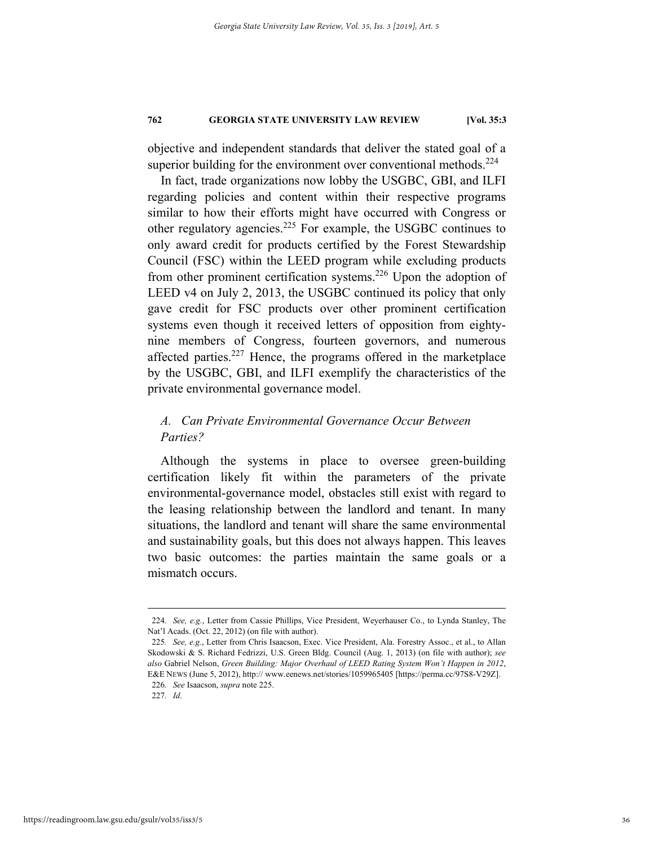objective and independent standards that deliver the stated goal of a superior building for the environment over conventional methods. $^{224}$ 

In fact, trade organizations now lobby the USGBC, GBI, and ILFI regarding policies and content within their respective programs similar to how their efforts might have occurred with Congress or other regulatory agencies.225 For example, the USGBC continues to only award credit for products certified by the Forest Stewardship Council (FSC) within the LEED program while excluding products from other prominent certification systems.<sup>226</sup> Upon the adoption of LEED v4 on July 2, 2013, the USGBC continued its policy that only gave credit for FSC products over other prominent certification systems even though it received letters of opposition from eightynine members of Congress, fourteen governors, and numerous affected parties.<sup>227</sup> Hence, the programs offered in the marketplace by the USGBC, GBI, and ILFI exemplify the characteristics of the private environmental governance model.

# *A. Can Private Environmental Governance Occur Between Parties?*

Although the systems in place to oversee green-building certification likely fit within the parameters of the private environmental-governance model, obstacles still exist with regard to the leasing relationship between the landlord and tenant. In many situations, the landlord and tenant will share the same environmental and sustainability goals, but this does not always happen. This leaves two basic outcomes: the parties maintain the same goals or a mismatch occurs.

 <sup>224</sup>*. See, e.g.*, Letter from Cassie Phillips, Vice President, Weyerhauser Co., to Lynda Stanley, The Nat'l Acads. (Oct. 22, 2012) (on file with author).

<sup>225</sup>*. See, e.g.*, Letter from Chris Isaacson, Exec. Vice President, Ala. Forestry Assoc., et al., to Allan Skodowski & S. Richard Fedrizzi, U.S. Green Bldg. Council (Aug. 1, 2013) (on file with author); *see also* Gabriel Nelson, *Green Building: Major Overhaul of LEED Rating System Won't Happen in 2012*, E&E NEWS (June 5, 2012), http:// www.eenews.net/stories/1059965405 [https://perma.cc/97S8-V29Z]. 226*. See* Isaacson, *supra* note 225.

<sup>227</sup>*. Id*.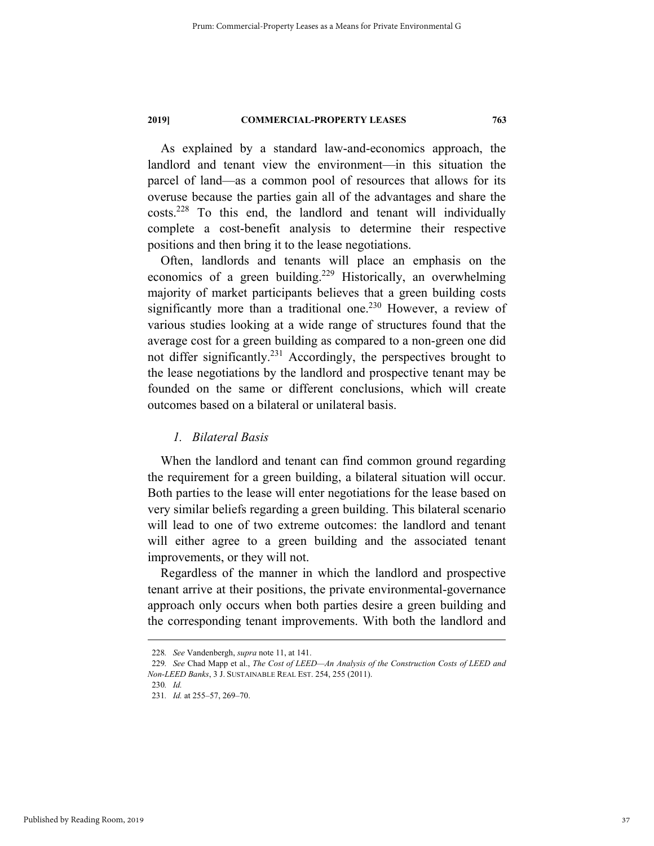As explained by a standard law-and-economics approach, the landlord and tenant view the environment—in this situation the parcel of land—as a common pool of resources that allows for its overuse because the parties gain all of the advantages and share the costs.228 To this end, the landlord and tenant will individually complete a cost-benefit analysis to determine their respective positions and then bring it to the lease negotiations.

Often, landlords and tenants will place an emphasis on the economics of a green building.<sup>229</sup> Historically, an overwhelming majority of market participants believes that a green building costs significantly more than a traditional one.<sup>230</sup> However, a review of various studies looking at a wide range of structures found that the average cost for a green building as compared to a non-green one did not differ significantly.<sup>231</sup> Accordingly, the perspectives brought to the lease negotiations by the landlord and prospective tenant may be founded on the same or different conclusions, which will create outcomes based on a bilateral or unilateral basis.

#### *1. Bilateral Basis*

When the landlord and tenant can find common ground regarding the requirement for a green building, a bilateral situation will occur. Both parties to the lease will enter negotiations for the lease based on very similar beliefs regarding a green building. This bilateral scenario will lead to one of two extreme outcomes: the landlord and tenant will either agree to a green building and the associated tenant improvements, or they will not.

Regardless of the manner in which the landlord and prospective tenant arrive at their positions, the private environmental-governance approach only occurs when both parties desire a green building and the corresponding tenant improvements. With both the landlord and

230*. Id.*

 <sup>228</sup>*. See* Vandenbergh, *supra* note 11, at 141.

<sup>229</sup>*. See* Chad Mapp et al., *The Cost of LEED—An Analysis of the Construction Costs of LEED and Non-LEED Banks*, 3 J. SUSTAINABLE REAL EST. 254, 255 (2011).

<sup>231</sup>*. Id.* at 255–57, 269–70.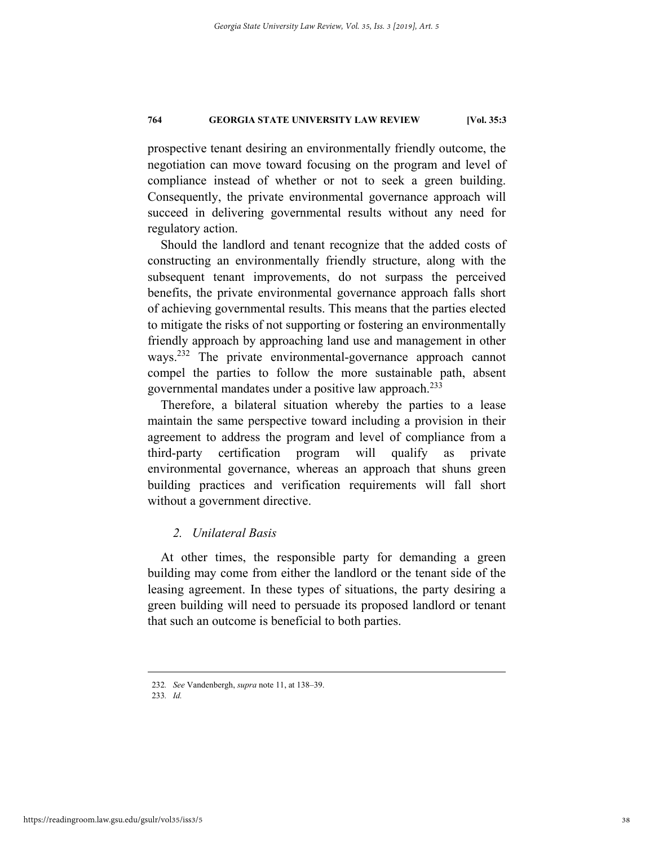prospective tenant desiring an environmentally friendly outcome, the negotiation can move toward focusing on the program and level of compliance instead of whether or not to seek a green building. Consequently, the private environmental governance approach will succeed in delivering governmental results without any need for regulatory action.

Should the landlord and tenant recognize that the added costs of constructing an environmentally friendly structure, along with the subsequent tenant improvements, do not surpass the perceived benefits, the private environmental governance approach falls short of achieving governmental results. This means that the parties elected to mitigate the risks of not supporting or fostering an environmentally friendly approach by approaching land use and management in other ways.<sup>232</sup> The private environmental-governance approach cannot compel the parties to follow the more sustainable path, absent governmental mandates under a positive law approach.233

Therefore, a bilateral situation whereby the parties to a lease maintain the same perspective toward including a provision in their agreement to address the program and level of compliance from a third-party certification program will qualify as private environmental governance, whereas an approach that shuns green building practices and verification requirements will fall short without a government directive.

#### *2. Unilateral Basis*

At other times, the responsible party for demanding a green building may come from either the landlord or the tenant side of the leasing agreement. In these types of situations, the party desiring a green building will need to persuade its proposed landlord or tenant that such an outcome is beneficial to both parties.

 <sup>232</sup>*. See* Vandenbergh, *supra* note 11, at 138–39.

<sup>233</sup>*. Id.*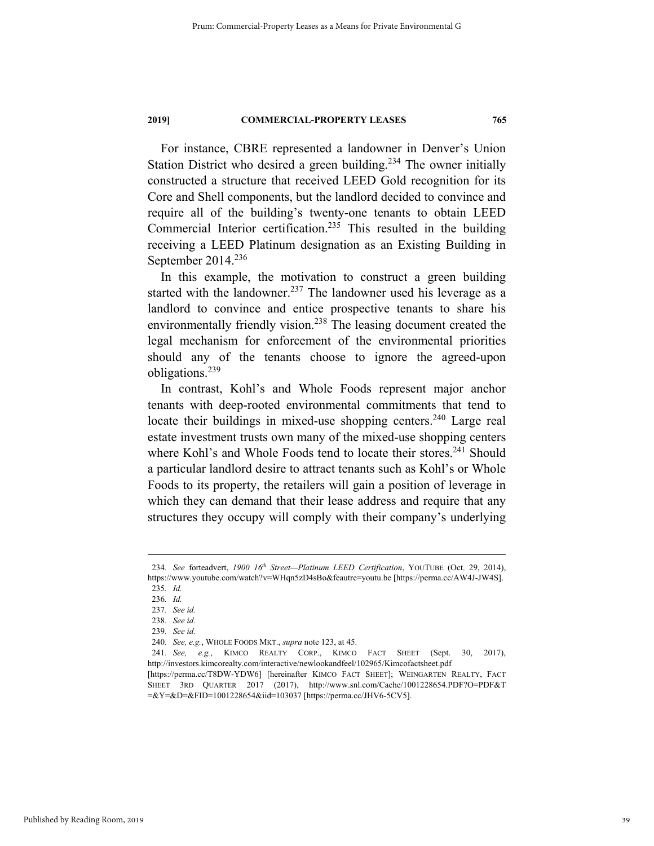For instance, CBRE represented a landowner in Denver's Union Station District who desired a green building.<sup>234</sup> The owner initially constructed a structure that received LEED Gold recognition for its Core and Shell components, but the landlord decided to convince and require all of the building's twenty-one tenants to obtain LEED Commercial Interior certification.235 This resulted in the building receiving a LEED Platinum designation as an Existing Building in September  $2014.<sup>236</sup>$ 

In this example, the motivation to construct a green building started with the landowner.<sup>237</sup> The landowner used his leverage as a landlord to convince and entice prospective tenants to share his environmentally friendly vision.<sup>238</sup> The leasing document created the legal mechanism for enforcement of the environmental priorities should any of the tenants choose to ignore the agreed-upon obligations.239

In contrast, Kohl's and Whole Foods represent major anchor tenants with deep-rooted environmental commitments that tend to locate their buildings in mixed-use shopping centers.<sup>240</sup> Large real estate investment trusts own many of the mixed-use shopping centers where Kohl's and Whole Foods tend to locate their stores.<sup>241</sup> Should a particular landlord desire to attract tenants such as Kohl's or Whole Foods to its property, the retailers will gain a position of leverage in which they can demand that their lease address and require that any structures they occupy will comply with their company's underlying

 <sup>234</sup>*. See* forteadvert, *1900 16th Street—Platinum LEED Certification*, YOUTUBE (Oct. 29, 2014), https://www.youtube.com/watch?v=WHqn5zD4sBo&feautre=youtu.be [https://perma.cc/AW4J-JW4S].

<sup>235</sup>*. Id.* 

<sup>236</sup>*. Id.*  237*. See id.*

<sup>238</sup>*. See id.*

<sup>239</sup>*. See id.* 

<sup>240</sup>*. See, e.g.*, WHOLE FOODS MKT., *supra* note 123, at 45.

<sup>241</sup>*. See, e.g.*, KIMCO REALTY CORP., KIMCO FACT SHEET (Sept. 30, 2017), http://investors.kimcorealty.com/interactive/newlookandfeel/102965/Kimcofactsheet.pdf

<sup>[</sup>https://perma.cc/T8DW-YDW6] [hereinafter KIMCO FACT SHEET]; WEINGARTEN REALTY, FACT SHEET 3RD QUARTER 2017 (2017), http://www.snl.com/Cache/1001228654.PDF?O=PDF&T =&Y=&D=&FID=1001228654&iid=103037 [https://perma.cc/JHV6-5CV5].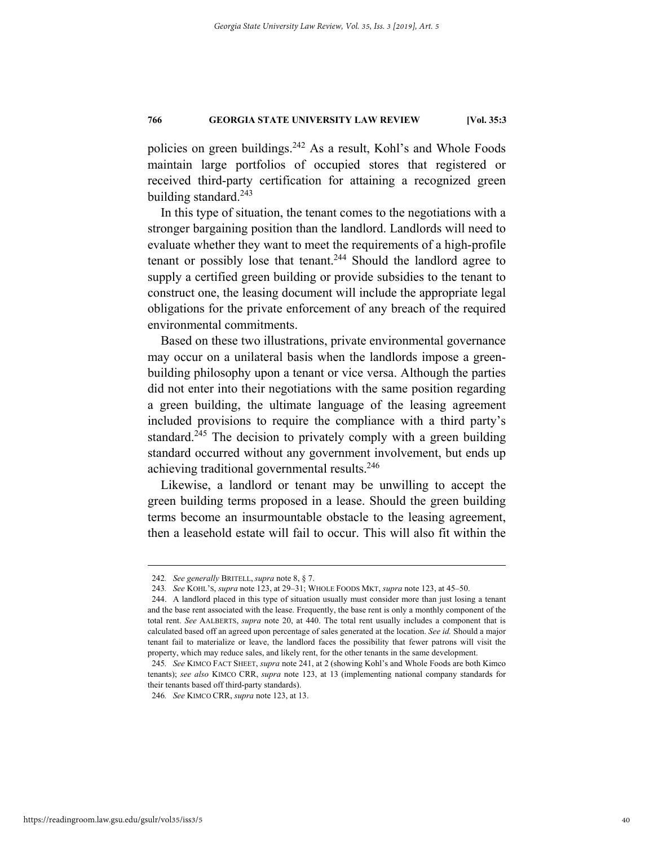policies on green buildings.<sup>242</sup> As a result, Kohl's and Whole Foods maintain large portfolios of occupied stores that registered or received third-party certification for attaining a recognized green building standard. $243$ 

In this type of situation, the tenant comes to the negotiations with a stronger bargaining position than the landlord. Landlords will need to evaluate whether they want to meet the requirements of a high-profile tenant or possibly lose that tenant.<sup>244</sup> Should the landlord agree to supply a certified green building or provide subsidies to the tenant to construct one, the leasing document will include the appropriate legal obligations for the private enforcement of any breach of the required environmental commitments.

Based on these two illustrations, private environmental governance may occur on a unilateral basis when the landlords impose a greenbuilding philosophy upon a tenant or vice versa. Although the parties did not enter into their negotiations with the same position regarding a green building, the ultimate language of the leasing agreement included provisions to require the compliance with a third party's standard.<sup>245</sup> The decision to privately comply with a green building standard occurred without any government involvement, but ends up achieving traditional governmental results.<sup>246</sup>

Likewise, a landlord or tenant may be unwilling to accept the green building terms proposed in a lease. Should the green building terms become an insurmountable obstacle to the leasing agreement, then a leasehold estate will fail to occur. This will also fit within the

246*. See* KIMCO CRR, *supra* note 123, at 13.

 <sup>242</sup>*. See generally* BRITELL, *supra* note 8, § 7.

<sup>243</sup>*. See* KOHL'S, *supra* note 123, at 29–31; WHOLE FOODS MKT, *supra* note 123, at 45–50.

 <sup>244.</sup> A landlord placed in this type of situation usually must consider more than just losing a tenant and the base rent associated with the lease. Frequently, the base rent is only a monthly component of the total rent. *See* AALBERTS, *supra* note 20, at 440. The total rent usually includes a component that is calculated based off an agreed upon percentage of sales generated at the location. *See id.* Should a major tenant fail to materialize or leave, the landlord faces the possibility that fewer patrons will visit the property, which may reduce sales, and likely rent, for the other tenants in the same development.

<sup>245</sup>*. See* KIMCO FACT SHEET, *supra* note 241, at 2 (showing Kohl's and Whole Foods are both Kimco tenants); *see also* KIMCO CRR, *supra* note 123, at 13 (implementing national company standards for their tenants based off third-party standards).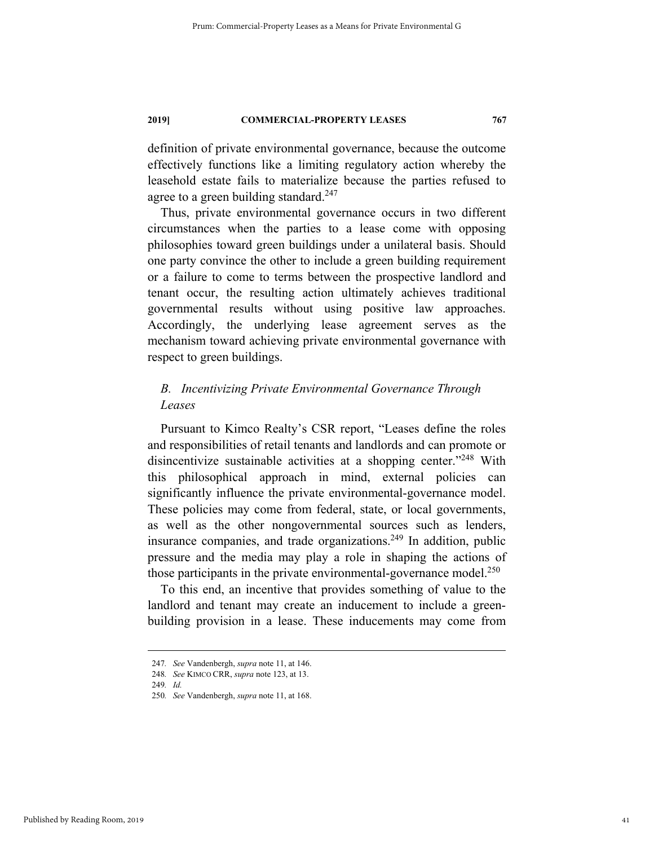definition of private environmental governance, because the outcome effectively functions like a limiting regulatory action whereby the leasehold estate fails to materialize because the parties refused to agree to a green building standard.<sup>247</sup>

Thus, private environmental governance occurs in two different circumstances when the parties to a lease come with opposing philosophies toward green buildings under a unilateral basis. Should one party convince the other to include a green building requirement or a failure to come to terms between the prospective landlord and tenant occur, the resulting action ultimately achieves traditional governmental results without using positive law approaches. Accordingly, the underlying lease agreement serves as the mechanism toward achieving private environmental governance with respect to green buildings.

# *B. Incentivizing Private Environmental Governance Through Leases*

Pursuant to Kimco Realty's CSR report, "Leases define the roles and responsibilities of retail tenants and landlords and can promote or disincentivize sustainable activities at a shopping center."<sup>248</sup> With this philosophical approach in mind, external policies can significantly influence the private environmental-governance model. These policies may come from federal, state, or local governments, as well as the other nongovernmental sources such as lenders, insurance companies, and trade organizations.<sup>249</sup> In addition, public pressure and the media may play a role in shaping the actions of those participants in the private environmental-governance model.<sup>250</sup>

To this end, an incentive that provides something of value to the landlord and tenant may create an inducement to include a greenbuilding provision in a lease. These inducements may come from

 <sup>247</sup>*. See* Vandenbergh, *supra* note 11, at 146.

<sup>248</sup>*. See* KIMCO CRR, *supra* note 123, at 13.

<sup>249</sup>*. Id.*

<sup>250</sup>*. See* Vandenbergh, *supra* note 11, at 168.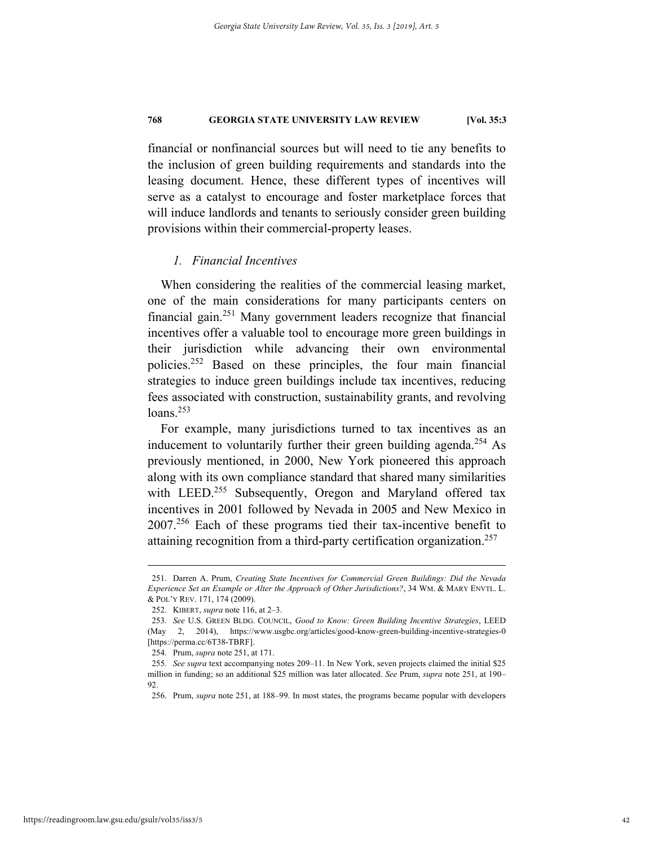financial or nonfinancial sources but will need to tie any benefits to the inclusion of green building requirements and standards into the leasing document. Hence, these different types of incentives will serve as a catalyst to encourage and foster marketplace forces that will induce landlords and tenants to seriously consider green building provisions within their commercial-property leases.

#### *1. Financial Incentives*

When considering the realities of the commercial leasing market, one of the main considerations for many participants centers on financial gain.251 Many government leaders recognize that financial incentives offer a valuable tool to encourage more green buildings in their jurisdiction while advancing their own environmental policies.252 Based on these principles, the four main financial strategies to induce green buildings include tax incentives, reducing fees associated with construction, sustainability grants, and revolving  $loans.<sup>253</sup>$ 

For example, many jurisdictions turned to tax incentives as an inducement to voluntarily further their green building agenda.<sup>254</sup> As previously mentioned, in 2000, New York pioneered this approach along with its own compliance standard that shared many similarities with LEED.<sup>255</sup> Subsequently, Oregon and Maryland offered tax incentives in 2001 followed by Nevada in 2005 and New Mexico in 2007.256 Each of these programs tied their tax-incentive benefit to attaining recognition from a third-party certification organization.<sup>257</sup>

 <sup>251.</sup> Darren A. Prum, *Creating State Incentives for Commercial Green Buildings: Did the Nevada Experience Set an Example or Alter the Approach of Other Jurisdictions?*, 34 WM. & MARY ENVTL. L. & POL'Y REV. 171, 174 (2009).

 <sup>252.</sup> KIBERT, *supra* note 116, at 2–3.

<sup>253</sup>*. See* U.S. GREEN BLDG. COUNCIL, *Good to Know: Green Building Incentive Strategies*, LEED (May 2, 2014), https://www.usgbc.org/articles/good-know-green-building-incentive-strategies-0 [https://perma.cc/6T38-TBRF].

 <sup>254.</sup> Prum, *supra* note 251, at 171.

<sup>255</sup>*. See supra* text accompanying notes 209–11. In New York, seven projects claimed the initial \$25 million in funding; so an additional \$25 million was later allocated. *See* Prum, *supra* note 251, at 190– 92.

 <sup>256.</sup> Prum, *supra* note 251, at 188–99. In most states, the programs became popular with developers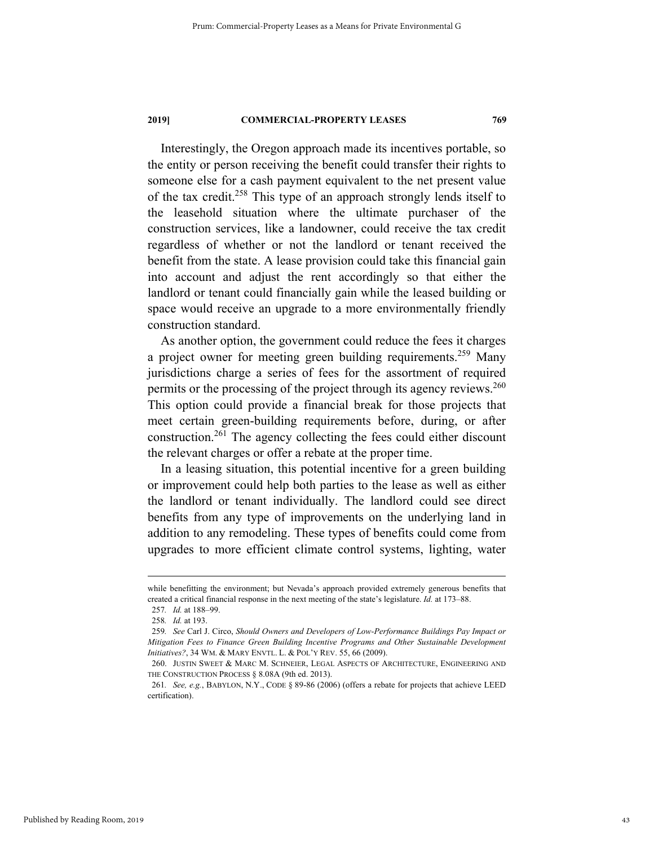Interestingly, the Oregon approach made its incentives portable, so the entity or person receiving the benefit could transfer their rights to someone else for a cash payment equivalent to the net present value of the tax credit.258 This type of an approach strongly lends itself to the leasehold situation where the ultimate purchaser of the construction services, like a landowner, could receive the tax credit regardless of whether or not the landlord or tenant received the benefit from the state. A lease provision could take this financial gain into account and adjust the rent accordingly so that either the landlord or tenant could financially gain while the leased building or space would receive an upgrade to a more environmentally friendly construction standard.

As another option, the government could reduce the fees it charges a project owner for meeting green building requirements.<sup>259</sup> Many jurisdictions charge a series of fees for the assortment of required permits or the processing of the project through its agency reviews.<sup>260</sup> This option could provide a financial break for those projects that meet certain green-building requirements before, during, or after construction.261 The agency collecting the fees could either discount the relevant charges or offer a rebate at the proper time.

In a leasing situation, this potential incentive for a green building or improvement could help both parties to the lease as well as either the landlord or tenant individually. The landlord could see direct benefits from any type of improvements on the underlying land in addition to any remodeling. These types of benefits could come from upgrades to more efficient climate control systems, lighting, water

while benefitting the environment; but Nevada's approach provided extremely generous benefits that created a critical financial response in the next meeting of the state's legislature. *Id.* at 173–88.

<sup>257</sup>*. Id.* at 188–99.

<sup>258</sup>*. Id.* at 193.

<sup>259</sup>*. See* Carl J. Circo, *Should Owners and Developers of Low-Performance Buildings Pay Impact or Mitigation Fees to Finance Green Building Incentive Programs and Other Sustainable Development Initiatives?*, 34 WM. & MARY ENVTL. L. & POL'Y REV. 55, 66 (2009).

 <sup>260.</sup> JUSTIN SWEET & MARC M. SCHNEIER, LEGAL ASPECTS OF ARCHITECTURE, ENGINEERING AND THE CONSTRUCTION PROCESS § 8.08A (9th ed. 2013).

<sup>261</sup>*. See, e.g.*, BABYLON, N.Y., CODE § 89-86 (2006) (offers a rebate for projects that achieve LEED certification).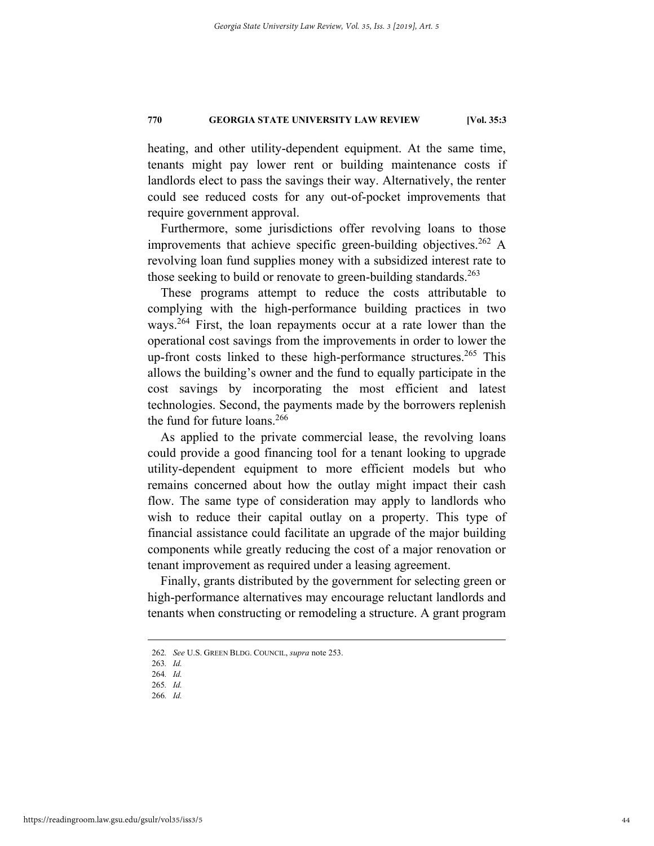heating, and other utility-dependent equipment. At the same time, tenants might pay lower rent or building maintenance costs if landlords elect to pass the savings their way. Alternatively, the renter could see reduced costs for any out-of-pocket improvements that require government approval.

Furthermore, some jurisdictions offer revolving loans to those improvements that achieve specific green-building objectives.<sup>262</sup> A revolving loan fund supplies money with a subsidized interest rate to those seeking to build or renovate to green-building standards.<sup>263</sup>

These programs attempt to reduce the costs attributable to complying with the high-performance building practices in two ways.<sup>264</sup> First, the loan repayments occur at a rate lower than the operational cost savings from the improvements in order to lower the up-front costs linked to these high-performance structures.<sup>265</sup> This allows the building's owner and the fund to equally participate in the cost savings by incorporating the most efficient and latest technologies. Second, the payments made by the borrowers replenish the fund for future loans. $266$ 

As applied to the private commercial lease, the revolving loans could provide a good financing tool for a tenant looking to upgrade utility-dependent equipment to more efficient models but who remains concerned about how the outlay might impact their cash flow. The same type of consideration may apply to landlords who wish to reduce their capital outlay on a property. This type of financial assistance could facilitate an upgrade of the major building components while greatly reducing the cost of a major renovation or tenant improvement as required under a leasing agreement.

Finally, grants distributed by the government for selecting green or high-performance alternatives may encourage reluctant landlords and tenants when constructing or remodeling a structure. A grant program

 <sup>262</sup>*. See* U.S. GREEN BLDG. COUNCIL, *supra* note 253.

<sup>263</sup>*. Id.*

<sup>264</sup>*. Id.* 

<sup>265</sup>*. Id.* 

<sup>266</sup>*. Id.*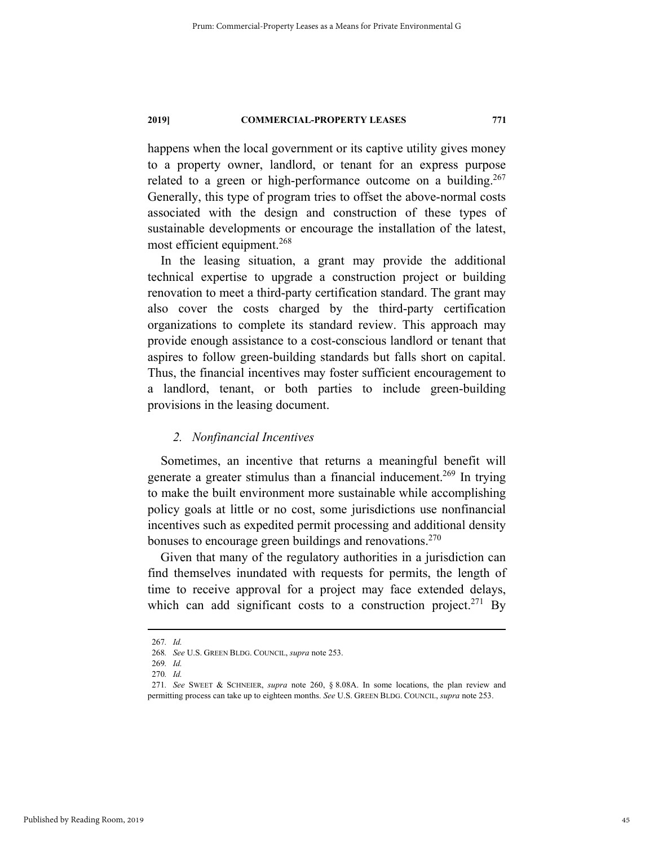happens when the local government or its captive utility gives money to a property owner, landlord, or tenant for an express purpose related to a green or high-performance outcome on a building.<sup>267</sup> Generally, this type of program tries to offset the above-normal costs associated with the design and construction of these types of sustainable developments or encourage the installation of the latest, most efficient equipment.<sup>268</sup>

In the leasing situation, a grant may provide the additional technical expertise to upgrade a construction project or building renovation to meet a third-party certification standard. The grant may also cover the costs charged by the third-party certification organizations to complete its standard review. This approach may provide enough assistance to a cost-conscious landlord or tenant that aspires to follow green-building standards but falls short on capital. Thus, the financial incentives may foster sufficient encouragement to a landlord, tenant, or both parties to include green-building provisions in the leasing document.

#### *2. Nonfinancial Incentives*

Sometimes, an incentive that returns a meaningful benefit will generate a greater stimulus than a financial inducement.<sup>269</sup> In trying to make the built environment more sustainable while accomplishing policy goals at little or no cost, some jurisdictions use nonfinancial incentives such as expedited permit processing and additional density bonuses to encourage green buildings and renovations.<sup>270</sup>

Given that many of the regulatory authorities in a jurisdiction can find themselves inundated with requests for permits, the length of time to receive approval for a project may face extended delays, which can add significant costs to a construction project.<sup>271</sup> By

 <sup>267</sup>*. Id.* 

<sup>268</sup>*. See* U.S. GREEN BLDG. COUNCIL, *supra* note 253.

<sup>269</sup>*. Id.* 

<sup>270</sup>*. Id.* 

<sup>271</sup>*. See* SWEET & SCHNEIER, *supra* note 260, § 8.08A. In some locations, the plan review and permitting process can take up to eighteen months. *See* U.S. GREEN BLDG. COUNCIL, *supra* note 253.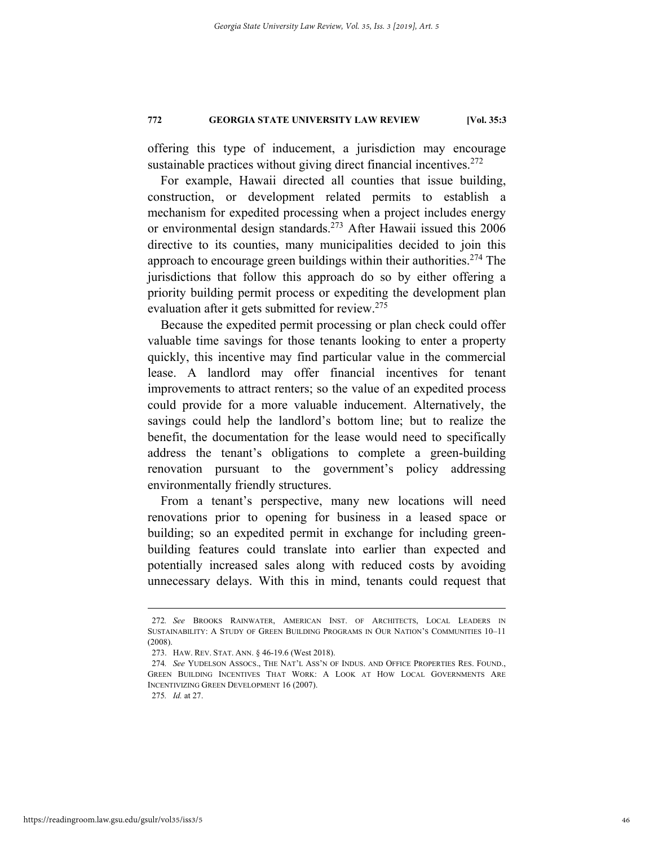offering this type of inducement, a jurisdiction may encourage sustainable practices without giving direct financial incentives.<sup>272</sup>

For example, Hawaii directed all counties that issue building, construction, or development related permits to establish a mechanism for expedited processing when a project includes energy or environmental design standards.273 After Hawaii issued this 2006 directive to its counties, many municipalities decided to join this approach to encourage green buildings within their authorities.<sup>274</sup> The jurisdictions that follow this approach do so by either offering a priority building permit process or expediting the development plan evaluation after it gets submitted for review.<sup>275</sup>

Because the expedited permit processing or plan check could offer valuable time savings for those tenants looking to enter a property quickly, this incentive may find particular value in the commercial lease. A landlord may offer financial incentives for tenant improvements to attract renters; so the value of an expedited process could provide for a more valuable inducement. Alternatively, the savings could help the landlord's bottom line; but to realize the benefit, the documentation for the lease would need to specifically address the tenant's obligations to complete a green-building renovation pursuant to the government's policy addressing environmentally friendly structures.

From a tenant's perspective, many new locations will need renovations prior to opening for business in a leased space or building; so an expedited permit in exchange for including greenbuilding features could translate into earlier than expected and potentially increased sales along with reduced costs by avoiding unnecessary delays. With this in mind, tenants could request that

 <sup>272</sup>*. See* BROOKS RAINWATER, AMERICAN INST. OF ARCHITECTS, LOCAL LEADERS IN SUSTAINABILITY: A STUDY OF GREEN BUILDING PROGRAMS IN OUR NATION'S COMMUNITIES 10–11 (2008).

 <sup>273.</sup> HAW. REV. STAT. ANN. § 46-19.6 (West 2018).

<sup>274</sup>*. See* YUDELSON ASSOCS., THE NAT'L ASS'N OF INDUS. AND OFFICE PROPERTIES RES. FOUND., GREEN BUILDING INCENTIVES THAT WORK: A LOOK AT HOW LOCAL GOVERNMENTS ARE INCENTIVIZING GREEN DEVELOPMENT 16 (2007).

<sup>275</sup>*. Id.* at 27.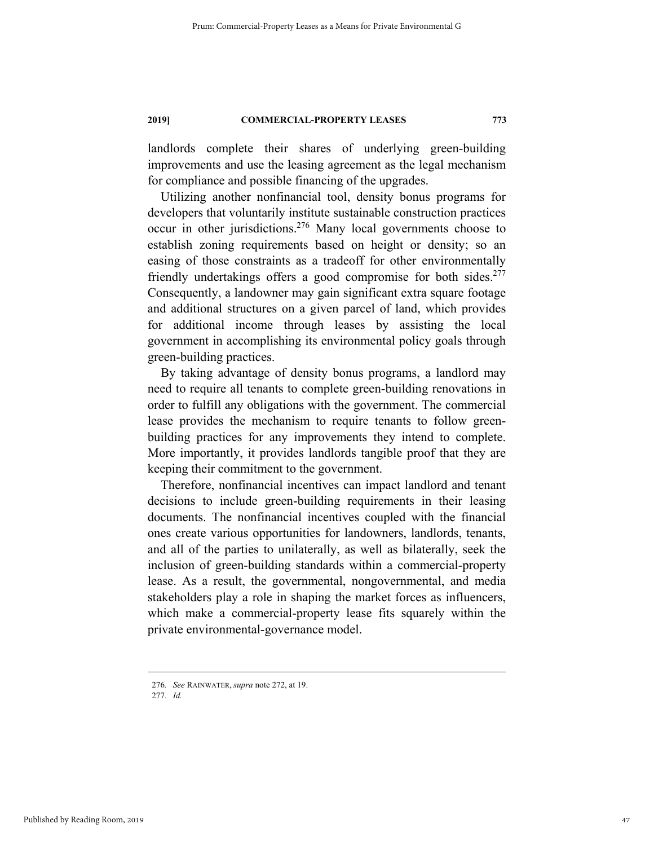landlords complete their shares of underlying green-building improvements and use the leasing agreement as the legal mechanism for compliance and possible financing of the upgrades.

Utilizing another nonfinancial tool, density bonus programs for developers that voluntarily institute sustainable construction practices occur in other jurisdictions.276 Many local governments choose to establish zoning requirements based on height or density; so an easing of those constraints as a tradeoff for other environmentally friendly undertakings offers a good compromise for both sides.<sup>277</sup> Consequently, a landowner may gain significant extra square footage and additional structures on a given parcel of land, which provides for additional income through leases by assisting the local government in accomplishing its environmental policy goals through green-building practices.

By taking advantage of density bonus programs, a landlord may need to require all tenants to complete green-building renovations in order to fulfill any obligations with the government. The commercial lease provides the mechanism to require tenants to follow greenbuilding practices for any improvements they intend to complete. More importantly, it provides landlords tangible proof that they are keeping their commitment to the government.

Therefore, nonfinancial incentives can impact landlord and tenant decisions to include green-building requirements in their leasing documents. The nonfinancial incentives coupled with the financial ones create various opportunities for landowners, landlords, tenants, and all of the parties to unilaterally, as well as bilaterally, seek the inclusion of green-building standards within a commercial-property lease. As a result, the governmental, nongovernmental, and media stakeholders play a role in shaping the market forces as influencers, which make a commercial-property lease fits squarely within the private environmental-governance model.

 <sup>276</sup>*. See* RAINWATER, *supra* note 272, at 19.

<sup>277</sup>*. Id.*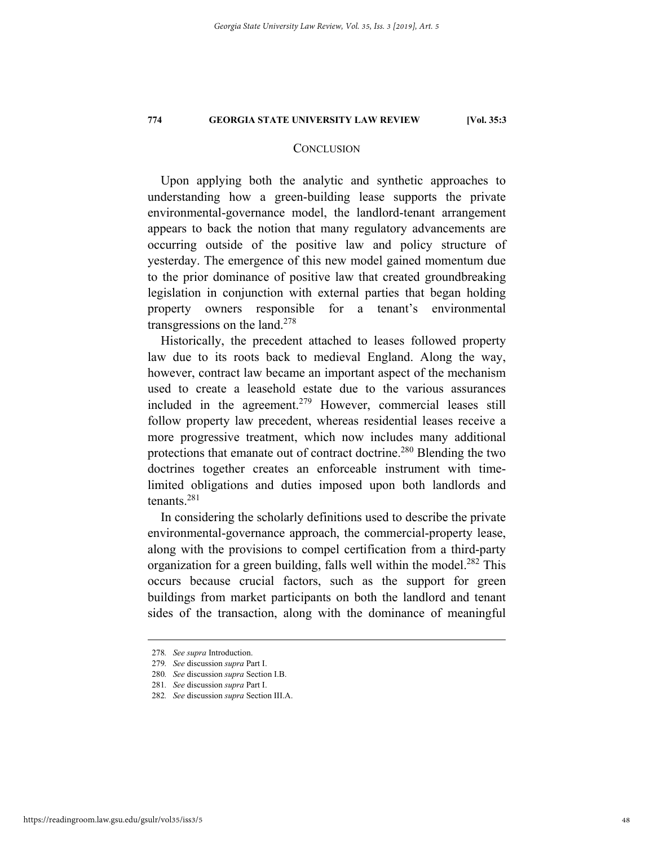#### **CONCLUSION**

Upon applying both the analytic and synthetic approaches to understanding how a green-building lease supports the private environmental-governance model, the landlord-tenant arrangement appears to back the notion that many regulatory advancements are occurring outside of the positive law and policy structure of yesterday. The emergence of this new model gained momentum due to the prior dominance of positive law that created groundbreaking legislation in conjunction with external parties that began holding property owners responsible for a tenant's environmental transgressions on the land.<sup>278</sup>

Historically, the precedent attached to leases followed property law due to its roots back to medieval England. Along the way, however, contract law became an important aspect of the mechanism used to create a leasehold estate due to the various assurances included in the agreement.<sup>279</sup> However, commercial leases still follow property law precedent, whereas residential leases receive a more progressive treatment, which now includes many additional protections that emanate out of contract doctrine.<sup>280</sup> Blending the two doctrines together creates an enforceable instrument with timelimited obligations and duties imposed upon both landlords and tenants.281

In considering the scholarly definitions used to describe the private environmental-governance approach, the commercial-property lease, along with the provisions to compel certification from a third-party organization for a green building, falls well within the model.<sup>282</sup> This occurs because crucial factors, such as the support for green buildings from market participants on both the landlord and tenant sides of the transaction, along with the dominance of meaningful

 <sup>278</sup>*. See supra* Introduction.

<sup>279</sup>*. See* discussion *supra* Part I.

<sup>280</sup>*. See* discussion *supra* Section I.B.

<sup>281</sup>*. See* discussion *supra* Part I.

<sup>282</sup>*. See* discussion *supra* Section III.A.